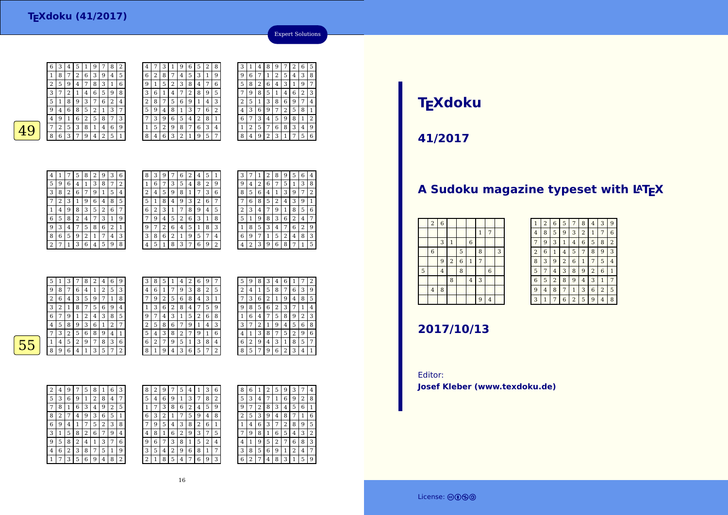$\frac{6}{3}$   $\frac{3}{4}$ 

 $-18$ 

 $\overline{2}$ 

 $\boxed{1}$ 

9<sup>3</sup> <sup>4</sup>

8

2

6 5

 <sup>8</sup> <sup>7</sup> <sup>2</sup> <sup>6</sup> <sup>3</sup> <sup>9</sup> <sup>4</sup> <sup>5</sup> <sup>5</sup> <sup>9</sup> <sup>4</sup> <sup>7</sup> <sup>8</sup> <sup>3</sup> <sup>1</sup> <sup>6</sup> 3 $\begin{array}{c|c} 3 & 7 \\ 5 & 1 \end{array}$  <sup>2</sup> <sup>1</sup> <sup>4</sup> <sup>6</sup> <sup>5</sup> <sup>9</sup> <sup>8</sup> <sup>8</sup> <sup>9</sup> <sup>3</sup> <sup>7</sup> <sup>6</sup> <sup>2</sup> <sup>4</sup>  $\frac{9}{4}$  <sup>6</sup> <sup>8</sup> <sup>5</sup> <sup>2</sup> <sup>1</sup> <sup>3</sup> <sup>7</sup> 4 <sup>9</sup> <sup>1</sup> <sup>6</sup> <sup>2</sup> <sup>5</sup> <sup>8</sup> <sup>7</sup> <sup>3</sup>  $49$   $7^2$   $5^3$   $8^1$   $1^4$   $6^9$  $\left| \frac{49}{863794251} \right|$ 2 8 7  $739$ 4 $\begin{array}{|c|c|c|c|c|c|c|c|}\n\hline\n8 & 2 & 9 & 3 & 6 \\
\hline\n1 & 3 & 8 & 7 & 2\n\end{array}$ 5 $9$  $\frac{4}{1}$   $\frac{3}{8}$   $\frac{8}{7}$   $\frac{2}{1}$  $3 \mid 8 \mid 2$  <sup>6</sup> <sup>7</sup> <sup>9</sup> <sup>1</sup> <sup>5</sup> <sup>4</sup> 7 $\begin{array}{|c|c|c|c|c|c|c|c|}\n\hline\n2 & 3 & 1 & 9 & 6 & 4 & 8 \\
\hline\n4 & 9 & 8 & 3 & 5 & 2 & 6\n\end{array}$ 

 $9 8 3 5 2 6 7$ 

 $14$  | 7 | 5 | 8 | 6 | 2 | 1

<sup>7</sup> <sup>1</sup> <sup>3</sup> <sup>6</sup> <sup>4</sup> <sup>5</sup> <sup>9</sup> <sup>8</sup>

<sup>5</sup> <sup>8</sup> <sup>2</sup> <sup>4</sup> <sup>7</sup> <sup>3</sup> <sup>1</sup> <sup>9</sup>

<sup>6</sup> <sup>5</sup> <sup>9</sup> <sup>2</sup> <sup>1</sup> <sup>7</sup> <sup>4</sup> <sup>3</sup>

<sup>5</sup> <sup>1</sup> <sup>9</sup> <sup>7</sup> <sup>8</sup> <sup>2</sup>

4

 $\sqrt{6}$  $\begin{array}{c|c} 6 & 2 \\ \hline 9 & 1 \end{array}$ 

 $\frac{3}{1}$  6 1

 $rac{5|9|4}{4}$ 

 $152$ 

| 8              | 3              | 9 |                | 6 | $\overline{2}$ | 4              | 5              | 1 |
|----------------|----------------|---|----------------|---|----------------|----------------|----------------|---|
| 1              | 6              | 7 | 3              | 5 | 4              | 8              | $\overline{2}$ | 9 |
| $\overline{2}$ | 4              | 5 | 9              | 8 | 1              | 7              | 3              | 6 |
| 5              | 1              | 8 | 4              | 9 | 3              | $\overline{2}$ | 6              | 7 |
| 6              | $\overline{2}$ | 3 | 1              | 7 | 8              | 9              | 4              | 5 |
| 7              | 9              | 4 | 5              | 2 | 6              | 3              | 1              | 8 |
| 9              | 7              | 2 | 6              | 4 | 5              | 1              | 8              | 3 |
| 3              | 8              | 6 | $\overline{2}$ | 1 | 9              | 5              | 7              | 4 |
| 4              | 5              | 1 | 8              | 3 | 7              | 6              | 9              | 2 |

<sup>7</sup> <sup>3</sup> <sup>1</sup> <sup>9</sup> <sup>6</sup> <sup>5</sup> <sup>2</sup> <sup>8</sup>

 <sup>8</sup> <sup>7</sup> <sup>4</sup> <sup>5</sup> <sup>3</sup> <sup>1</sup> <sup>9</sup> <sup>5</sup> <sup>2</sup> <sup>3</sup> <sup>8</sup> <sup>4</sup> <sup>7</sup> <sup>6</sup>

 $\begin{array}{|c|c|c|c|c|c|}\n\hline\n4 & 7 & 2 & 8 & 9 & 5 \\
\hline\n5 & 6 & 9 & 1 & 4 & 3\n\end{array}$ 

 $\begin{array}{|c|c|c|c|c|c|c|c|}\n\hline\n & 6 & 9 & 1 & 4 & 3 \\
\hline\n & 8 & 1 & 3 & 7 & 6 & 2\n\end{array}$ 

<sup>3</sup> <sup>9</sup> <sup>6</sup> <sup>5</sup> <sup>4</sup> <sup>2</sup> <sup>8</sup> <sup>1</sup>

8 7 6 3 4 8 | 4 | 6 | 3 | 2 | 1 | 9 | 5 | 7

3 7 6 2

3 $\begin{array}{|c|c|c|c|}\n\hline\n3 & 1 & 4 \\
\hline\n9 & 6 & 7\n\end{array}$ 

 $\frac{5}{2}$  8 | 2

 $\boxed{2}$   $\boxed{5}$   $\boxed{1}$ 

 $436$ 

 $79$ 

 $\frac{6}{1}$ 

 $\boxed{1}$   $\boxed{2}$ 

| 3 |   | 1 | 2 | 8              | 9 | 5 | 6 | 4 |
|---|---|---|---|----------------|---|---|---|---|
| 9 | 4 | 2 | 6 | 7              | 5 | 1 | 3 | 8 |
| 8 | 5 | 6 | 4 | 1              | 3 | 9 | 7 | 2 |
|   | 6 | 8 | 5 | $\overline{2}$ | 4 | 3 | 9 | 1 |
| 2 | 3 | 4 |   | 9              | 1 | 8 | 5 | 6 |
| 5 | 1 | 9 | 8 | 3              | 6 | 2 | 4 | 7 |
|   | 8 | 5 | 3 | 4              | 7 | 6 | 2 | 9 |
| 6 | 9 | 7 | 1 | 5              | 2 | 4 | 8 | 3 |
|   | 2 | 3 | 9 | 6              | 8 | 7 | 1 | 5 |
|   |   |   |   |                |   |   |   |   |

Expert Solutions

 <sup>4</sup> <sup>8</sup> <sup>9</sup> <sup>7</sup> <sup>2</sup> <sup>6</sup> <sup>5</sup> <sup>1</sup> <sup>2</sup> <sup>5</sup> <sup>4</sup> <sup>3</sup> <sup>8</sup>

<sup>6</sup> <sup>4</sup> <sup>3</sup> <sup>1</sup> <sup>9</sup> <sup>7</sup>

 $\begin{array}{|c|c|c|c|c|c|c|c|}\n\hline\n3 & 8 & 6 & 9 & 7 & 4 \\
\hline\n9 & 7 & 2 & 5 & 8 & 1\n\end{array}$ 

8 5 1 4 6 2 3

<sup>3</sup> <sup>4</sup> <sup>5</sup> <sup>9</sup> <sup>8</sup> <sup>1</sup> <sup>2</sup>

 $7683$ 8 <sup>4</sup> <sup>9</sup> <sup>2</sup> <sup>3</sup> <sup>1</sup> <sup>7</sup> <sup>5</sup> <sup>6</sup>

 $\begin{array}{|c|c|c|c|c|}\n\hline\n6 & 9 & 7 & 2 \\
\hline\n3 & 4 & 5 & 9\n\end{array}$ 

|    | 5 | 1 | 3 | 7      | 8 | 2 | 4 | 6      | 9              | 3 | 8 | 5      | 1 | 4 | 2 | 6 | 9 | 7              |
|----|---|---|---|--------|---|---|---|--------|----------------|---|---|--------|---|---|---|---|---|----------------|
|    | 9 | 8 | 7 | 6      | 4 | 1 | 2 | 5      | 3              | 4 | 6 |        | 7 | 9 | 3 | 8 | 2 | 5              |
|    | 2 | 6 | 4 | 3      | 5 | 9 |   |        | 8              | 7 | 9 | າ<br>4 | 5 | 6 | 8 | 4 | 3 | 1              |
|    | 3 | 2 |   | 8      | 7 | 5 | 6 | 9      | $\overline{4}$ |   | 3 | 6      | 2 | 8 | 4 | 7 | 5 | g              |
|    | 6 | 7 | 9 |        | 2 | 4 | 3 | 8      | 5              | 9 | 7 | 4      | 3 | 1 | 5 | 2 | 6 | 8              |
|    | 4 | 5 | 8 | 9      | 3 | 6 | Ŧ | ר<br>∠ |                | 2 | 5 | 8      | 6 | 7 | 9 | 1 | 4 | 3              |
|    | 7 | 3 | 2 | 5      | 6 | 8 | 9 | 4      |                | 5 | 4 | 3      | 8 | 2 | ¬ | 9 |   | 6              |
| 55 |   | 4 | 5 | ∍<br>∠ | 9 | 7 | 8 | 3      | 6              | 6 | 2 | 7      | 9 | 5 |   | 3 | 8 | 4              |
|    | 8 | 9 | 6 | 4      |   | 3 | 5 | 7      | 2              | 8 |   | 9      | 4 | 3 | 6 | 5 | 7 | $\overline{2}$ |
|    |   |   |   |        |   |   |   |        |                |   |   |        |   |   |   |   |   |                |

| 6 | 9 | 7 | 5 | 9 | 8 | 3 | 4 | 6 | 1 | 7 | 2 |
|---|---|---|---|---|---|---|---|---|---|---|---|
| 8 | 2 | 5 | 2 | 4 | 1 | 5 | 8 | 7 | 6 | 3 | 9 |
| 4 | 3 |   |   | 3 | 6 | 2 | 1 | 9 | 4 | 8 | 5 |
|   | 5 | 9 | 9 | 8 | 5 | 6 | 2 | 3 |   | 1 | 4 |
| 2 | 6 | 8 | 1 | 6 | 4 | 7 | 5 | 8 | 9 | 2 | 3 |
| 1 | 4 | 3 | 3 | 7 | 2 | 1 | 9 | 4 | 5 | 6 | 8 |
| 9 | 1 | 6 | 4 | 1 | 3 | 8 | 7 | 5 | 2 | 9 | 6 |
| 3 | 8 | 4 | 6 | 2 | 9 | 4 | 3 | 1 | 8 | 5 | 7 |
| 5 | 7 | 2 | 8 | 5 | 7 | 9 | 6 | 2 | 3 | 4 |   |
|   |   |   |   |   |   |   |   |   |   |   |   |

2 <sup>4</sup> <sup>9</sup> <sup>7</sup> <sup>5</sup> <sup>8</sup> <sup>1</sup> <sup>6</sup> <sup>3</sup> 5 $3 | 6 | 9 | 1$  $\begin{array}{|c|c|c|c|c|}\n\hline\n2 & 8 & 4 & 7 \\
\hline\n4 & 9 & 2 & 5\n\end{array}$  $78$  $8 1 6 3 4 9$ <br>2 7 4 9 3 6  $\frac{8}{2}$  <sup>7</sup> <sup>4</sup> <sup>9</sup> <sup>3</sup> <sup>6</sup> <sup>5</sup> <sup>1</sup> 6 <sup>9</sup> <sup>4</sup> $\overline{4}$  1 7 5 3 <sup>1</sup> <sup>5</sup> <sup>8</sup> <sup>2</sup> <sup>6</sup> <sup>7</sup> <sup>9</sup> <sup>4</sup>  $9 \mid 5 \mid 8 \mid 2$ 8 2 4 1 3 7 6  $\boxed{4}$  6 2 3 8 7 5 1 9

<sup>7</sup> <sup>3</sup> <sup>5</sup> <sup>6</sup> <sup>9</sup> <sup>4</sup> <sup>8</sup> <sup>2</sup>

1

| 8              | 2 | 9 |   | 5 | 4 |   | 3 | 6 | 8 | 6 |        |   | 5 | 9 | З |                | 4 |
|----------------|---|---|---|---|---|---|---|---|---|---|--------|---|---|---|---|----------------|---|
| 5              | 4 | 6 | 9 | 1 | 3 | 7 | 8 | 2 | 5 | 3 | 4      |   | 1 | 6 | 9 | $\overline{2}$ | 8 |
| 1              | 7 | 3 | 8 | 6 | 2 | 4 | 5 | 9 | 9 | 7 | ∍<br>∠ | 8 | 3 | 4 | 5 | 6              | 1 |
| 6              | 3 | 2 |   | 7 | 5 | 9 | 4 | 8 | 2 | 5 | 3      | 9 | 4 | 8 |   | 1              | 6 |
| 7              | 9 | 5 | 4 | 3 | 8 | 2 | 6 | 1 |   | 4 | 6      | 3 | 7 | 2 | 8 | 9              | 5 |
| 4              | 8 | 1 | 6 | 2 | 9 | 3 | 7 | 5 | 7 | 9 | 8      | 1 | 6 | 5 | 4 | 3              | 2 |
| 9              | 6 | 7 | 3 | 8 | 1 | 5 | 2 | 4 | 4 |   | 9      | 5 | 2 | 7 | 6 | 8              | 3 |
| 3              | 5 | 4 | 2 | 9 | 6 | 8 | 1 | 7 | 3 | 8 | 5      | 6 | 9 | 1 | 2 | 4              | 7 |
| $\overline{2}$ |   | 8 | 5 | 4 | 7 | 6 | 9 | 3 | 6 | ∍ | ⇁      | 4 | 8 | 3 | 1 | 5              | g |
|                |   |   |   |   |   |   |   |   |   |   |        |   |   |   |   |                |   |

# **TEXdoku**

**41/2017**

### A Sudoku magazine typeset with LATEX

|   | $\,2$          | $\boldsymbol{6}$ |                         |                |                |                |                |   |
|---|----------------|------------------|-------------------------|----------------|----------------|----------------|----------------|---|
|   |                |                  |                         |                |                | $\mathbf{1}$   | 7              |   |
|   |                | 3                | $\mathbf{1}$            |                | $\overline{6}$ |                |                |   |
|   | $\,$ 6 $\,$    |                  |                         | 5              |                | 8              |                | 3 |
|   |                | 9                | $\overline{\mathbf{c}}$ | $\overline{6}$ | $\mathbf 1$    | $\overline{7}$ |                |   |
| 5 |                | $\overline{4}$   |                         | 8              |                |                | $\overline{6}$ |   |
|   |                |                  | 8                       |                | $\bf{4}$       | 3              |                |   |
|   | $\overline{4}$ | 8                |                         |                |                |                |                |   |
|   |                |                  |                         |                |                | 9              | $\overline{4}$ |   |

| $\mathbf{1}$   | $\overline{2}$ | 6 | 5 | 7              | 8              | 4              | 3              | 9 |
|----------------|----------------|---|---|----------------|----------------|----------------|----------------|---|
| 4              | 8              | 5 | 9 | 3              | $\overline{2}$ | $\mathbf{1}$   | 7              | 6 |
| 7              | 9              | 3 | 1 | 4              | 6              | 5              | 8              | 2 |
| $\overline{2}$ | 6              | 1 | 4 | 5              | 7              | 8              | 9              | 3 |
| 8              | 3              | 9 | 2 | 6              | 1              | 7              | 5              | 4 |
| 5              | 7              | 4 | 3 | 8              | 9              | $\overline{2}$ | 6              | 1 |
| 6              | 5              | 2 | 8 | 9              | 4              | 3              | 1              | 7 |
| 9              | 4              | 8 | 7 | $\mathbf{1}$   | 3              | 6              | $\overline{2}$ | 5 |
| 3              | 1              |   | 6 | $\overline{2}$ | 5              | 9              | 4              | 8 |

## **2017/10/13**

Editor:**Josef Kleber (www.texdoku.de)**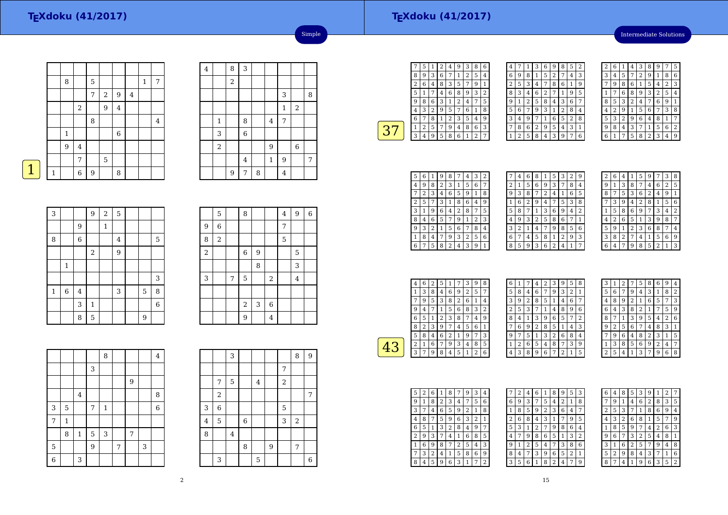### **TEXdoku (41/2017)**

Intermediate Solutions

|   |   | 8            |         | 5 |                |         |         | 1 | 7       |
|---|---|--------------|---------|---|----------------|---------|---------|---|---------|
|   |   |              |         | 7 | $\overline{2}$ | 9       | $\bf 4$ |   |         |
|   |   |              | $\,2$   |   | 9              | $\bf 4$ |         |   |         |
|   |   |              |         | 8 |                |         |         |   | $\bf 4$ |
|   |   | $\mathbf{1}$ |         |   |                | $\,6\,$ |         |   |         |
|   |   | 9            | $\bf 4$ |   |                |         |         |   |         |
|   |   |              | 7       |   | 5              |         |         |   |         |
| 1 | 1 |              | 6       | 9 |                | 8       |         |   |         |

| $\bf 4$ |              | $\, 8$         | $\sqrt{3}$     |   |         |                |                         |   |
|---------|--------------|----------------|----------------|---|---------|----------------|-------------------------|---|
|         |              | $\overline{a}$ |                |   |         |                |                         |   |
|         |              |                |                |   |         | 3              |                         | 8 |
|         |              |                |                |   |         | $\mathbf{1}$   | $\overline{\mathbf{c}}$ |   |
|         | $\mathbf{1}$ |                | 8              |   | $\bf 4$ | $\overline{7}$ |                         |   |
|         | 3            |                | $\overline{6}$ |   |         |                |                         |   |
|         | $\sqrt{2}$   |                |                |   | 9       |                | $\,$ 6 $\,$             |   |
|         |              |                | $\overline{4}$ |   | $\,1\,$ | 9              |                         | 7 |
|         |              | 9              | 7              | 8 |         | $\overline{4}$ |                         |   |

Simple

| <b>Contract Contract Contract Contract Contract Contract Contract Contract Contract Contract Contract Contract Co</b> |  |
|-----------------------------------------------------------------------------------------------------------------------|--|

| 3            |             |                | 9              | $\overline{a}$ | 5                       |   |   |
|--------------|-------------|----------------|----------------|----------------|-------------------------|---|---|
|              |             | 9              |                | $\,1\,$        |                         |   |   |
| 8            |             | 6              |                |                | $\overline{\mathbf{4}}$ |   | 5 |
|              |             |                | $\overline{a}$ |                | $\overline{9}$          |   |   |
|              | $\mathbf 1$ |                |                |                |                         |   |   |
|              |             |                |                |                |                         |   | 3 |
| $\mathbf{1}$ | 6           | $\overline{4}$ |                |                | 3                       | 5 | 8 |
|              |             | 3              | $\mathbf{1}$   |                |                         |   | 6 |
|              |             | 8              | $\mathbf 5$    |                |                         | 9 |   |

|                | 5                |   | 8                |   |                | $\overline{4}$ | 9              | $\,$ 6 $\,$ |
|----------------|------------------|---|------------------|---|----------------|----------------|----------------|-------------|
| 9              | $\overline{6}$   |   |                  |   |                | 7              |                |             |
| 8              | $\boldsymbol{2}$ |   |                  |   |                | 5              |                |             |
| $\overline{2}$ |                  |   | $\boldsymbol{6}$ | 9 |                |                | 5              |             |
|                |                  |   |                  | 8 |                |                | 3              |             |
| 3              |                  | 7 | 5                |   | $\sqrt{2}$     |                | $\overline{4}$ |             |
|                |                  |   |                  |   |                |                |                |             |
|                |                  |   | $\boldsymbol{2}$ | 3 | 6              |                |                |             |
|                |                  |   | 9                |   | $\overline{4}$ |                |                |             |

|                |             |                |   | 8            |   |   |   | $\overline{4}$ |
|----------------|-------------|----------------|---|--------------|---|---|---|----------------|
|                |             |                | 3 |              |   |   |   |                |
|                |             |                |   |              |   | 9 |   |                |
|                |             | $\overline{4}$ |   |              |   |   |   | 8              |
| 3              | 5           |                | 7 | $\mathbf{1}$ |   |   |   | $\overline{6}$ |
| 7              | $\mathbf 1$ |                |   |              |   |   |   |                |
|                | 8           | $\mathbf 1$    | 5 | 3            |   | 7 |   |                |
| 5              |             |                | 9 |              | 7 |   | 3 |                |
| $\overline{6}$ |             | 3              |   |              |   |   |   |                |

|         |                  | 3                       |                |   |   |       | 8              | 9              |
|---------|------------------|-------------------------|----------------|---|---|-------|----------------|----------------|
|         |                  |                         |                |   |   | 7     |                |                |
|         | 7                | 5                       |                | 4 |   | $\,2$ |                |                |
|         | $\boldsymbol{2}$ |                         |                |   |   |       |                | 7              |
| 3       | 6                |                         |                |   |   | 5     |                |                |
| $\bf 4$ | 5                |                         | $\overline{6}$ |   |   | 3     | $\overline{2}$ |                |
| 8       |                  | $\overline{\mathbf{4}}$ |                |   |   |       |                |                |
|         |                  |                         | 8              |   | 9 |       | 7              |                |
|         | 3                |                         |                | 5 |   |       |                | $\overline{6}$ |

|   | 5 | 1 | 2 | 4 | 9 | З                       | 8 | 6 |
|---|---|---|---|---|---|-------------------------|---|---|
| 8 | 9 | 3 | 6 | 7 | 1 | 2                       | 5 | 4 |
| 2 | 6 | 4 | 8 | 3 | 5 |                         | 9 | 1 |
| 5 | 1 |   | 4 | 6 | 8 | 9                       | 3 | 2 |
| g | 8 | 6 | 3 | 1 | 2 | $\overline{\mathbf{4}}$ | 7 | 5 |
| 4 | 3 | 2 | 9 | 5 | 7 | 6                       | 1 | 8 |
| 6 |   | 8 | 1 | 2 | 3 | 5                       | 4 | g |
| 1 | 2 | 5 | 7 | 9 | 4 | 8                       | 6 | 3 |
| 3 | 4 | g | 5 | 8 | 6 |                         | 2 | 7 |
|   |   |   |   |   |   |                         |   |   |

| 4 |                |   | 3              | 6              | 9 | 8 | 5 | $\overline{2}$ |
|---|----------------|---|----------------|----------------|---|---|---|----------------|
| 6 | 9              | 8 | 1              | 5              | 2 | 7 | 4 | 3              |
| 2 | 5              | 3 | 4              | 7              | 8 | 6 | 1 | 9              |
| 8 | 3              | 4 | 6              | $\overline{2}$ | 7 | 1 | 9 | 5              |
| 9 | 1              | 2 | 5              | 8              | 4 | 3 | 6 | 7              |
| 5 | 6              | 7 | 9              | 3              | 1 | 2 | 8 | 4              |
| 3 | 4              | 9 | 7              | 1              | 6 | 5 | 2 | 8              |
|   | 8              | 6 | $\overline{2}$ | 9              | 5 | 4 | 3 | 1              |
|   | $\overline{2}$ | 5 | 8              | 4              | 3 | 9 | 7 | 6              |

| 2                       | 6 | 1              | 4 | 3 | 8              | 9 | 7 | 5 |
|-------------------------|---|----------------|---|---|----------------|---|---|---|
| 3                       | 4 | 5              | 7 | 2 | 9              | 1 | 8 | 6 |
|                         | 9 | 8              | 6 | 1 | 5              | 4 | 2 | 3 |
| 1                       |   | 6              | 8 | 9 | 3              | 2 | 5 | 4 |
| 8                       | 5 | 3              | 2 | 4 | 7              | 6 | 9 | 1 |
| $\overline{\mathbf{4}}$ | 2 | 9              | 1 | 5 | 6              | 7 | 3 | 8 |
| 5                       | 3 | $\overline{2}$ | 9 | 6 | 4              | 8 | 1 | 7 |
| 9                       | 8 | 4              | 3 | 7 | 1              | 5 | 6 | 2 |
| 6                       | 1 | 7              | 5 | 8 | $\overline{2}$ | 3 | 4 | 9 |

| 5 | 6 |   | 9 | 8 | 7 | 4 | З            | 2 |
|---|---|---|---|---|---|---|--------------|---|
| 4 | 9 | 8 | 2 | 3 | 1 | 5 | 6            | 7 |
|   | 2 | 3 | 4 | 6 | 5 | 9 | $\mathbf{1}$ | 8 |
| 2 | 5 |   | 3 | 1 | 8 | 6 | 4            | 9 |
| 3 | 1 | 9 | 6 | 4 | 2 | 8 | 7            | 5 |
| 8 | 4 | 6 | 5 | 7 | 9 | 1 | 2            | 3 |
| 9 | 3 | 2 | 1 | 5 | 6 | 7 | 8            | 4 |
| 1 | 8 | 4 | 7 | 9 | 3 | 2 | 5            | 6 |
| 6 | 7 | 5 | 8 | 2 | 4 | 3 | 9            | 1 |

| 7 | 4 | 6 | 8              | 1 | 5                       | З | 2     | 9 |
|---|---|---|----------------|---|-------------------------|---|-------|---|
| 2 | 1 | 5 | 6              | 9 | 3                       | 7 | 8     | 4 |
| 9 | 3 | 8 | 7              | 2 | 4                       | 1 | 6     | 5 |
| 1 | 6 | 2 | 9              | 4 | 7                       | 5 | 3     | 8 |
| 5 | 8 | 7 | 1              | 3 | 6                       | 9 | 4     | 2 |
| 4 | 9 | 3 | $\overline{2}$ | 5 | 8                       | 6 | 7     | 1 |
| 3 | 2 | 1 | 4              | 7 | 9                       | 8 | 5     | 6 |
| 6 | 7 | 4 | 5              | 8 | 1                       | 2 | 9     | 3 |
| 8 | 5 | 9 | 3              | 6 | $\overline{\mathbf{c}}$ | 4 | $1\,$ | 7 |
|   |   |   |                |   |                         |   |       |   |

| 2 | 6 | 4 |   | 5 | 9 |                | 3              | 8 |
|---|---|---|---|---|---|----------------|----------------|---|
| g | 1 | 3 | 8 | 7 | 4 | 6              | $\overline{2}$ | 5 |
| 8 | 7 | 5 | 3 | 6 | 2 | 4              | 9              | 1 |
|   | 3 | 9 | 4 | 2 | 8 | 1              | 5              | 6 |
| 1 | 5 | 8 | 6 | 9 | 7 | 3              | 4              | 2 |
| 4 | 2 | 6 | 5 | 1 | 3 | 9              | 8              | 7 |
| 5 | 9 | 1 | 2 | 3 | 6 | 8              | 7              | 4 |
| 3 | 8 | 2 | 7 | 4 | 1 | 5              | 6              | 9 |
| հ | 4 |   | q | 8 | 5 | $\overline{c}$ |                | 3 |

|   | 4 | 6 | $\overline{2}$ | 5 | $\mathbf{1}$ | 7 | 3 | 9 | 8              |  |
|---|---|---|----------------|---|--------------|---|---|---|----------------|--|
|   |   | 3 | 8              | 4 | 6            | 9 | 2 | 5 |                |  |
|   |   | 9 | 5              | 3 | 8            | 2 | 6 | 1 | 4              |  |
|   | g | 4 |                | 1 | 5            | 6 | 8 | 3 | $\overline{c}$ |  |
|   | 6 | 5 | 1              | 2 | 3            | 8 | 7 | 4 | 9              |  |
|   | 8 | 2 | 3              | 9 | 7            | 4 | 5 | 6 | 1              |  |
|   | 5 | 8 | 4              | 6 | 2            |   | 9 |   | 3              |  |
| 4 | 2 | 1 | 6              | 7 | 9            | 3 | 4 | 8 | 5              |  |
|   | 3 | 7 | 9              | 8 | 4            | 5 |   | 2 | 6              |  |

| 6 | 1 | 7 | 4 | 2 | 3 | 9              | 5 | 8 |  |
|---|---|---|---|---|---|----------------|---|---|--|
| 5 | 8 | 4 | 6 | 7 | 9 | 3              | 2 | 1 |  |
| 3 | 9 | 2 | 8 | 5 | 1 | 4              | 6 | 7 |  |
| 2 | 5 | 3 | 7 | 1 | 4 | 8              | 9 | 6 |  |
| 8 | 4 | 1 | 3 | 9 | 6 | 5              | 7 | 2 |  |
|   | 6 | 9 | 2 | 8 | 5 | 1              | 4 | 3 |  |
| 9 | 7 | 5 | 1 | 3 | 2 | 6              | 8 | 4 |  |
| 1 | 2 | 6 | 5 | 4 | 8 | 7              | 3 | 9 |  |
| 4 | 3 | 8 | 9 | 6 | 7 | $\overline{2}$ | 1 | 5 |  |

| З | ı | 2 |                | 5 | 8              | 6 | 9 | 4 |
|---|---|---|----------------|---|----------------|---|---|---|
| 5 | 6 |   | 9              | 4 | 3              | 1 | 8 | 2 |
| 4 | 8 | 9 | $\overline{2}$ | 1 | 6              | 5 | 7 | 3 |
| 6 | 4 | 3 | 8              | 2 | 1              | 7 | 5 | 9 |
| 8 | 7 | 1 | 3              | 9 | 5              | 4 | 2 | 6 |
| 9 | 2 | 5 | 6              | 7 | 4              | 8 | 3 | 1 |
| 7 | 9 | 6 | 4              | 8 | $\overline{2}$ | 3 | 1 | 5 |
| 1 | 3 | 8 | 5              | 6 | 9              | 2 | 4 | 7 |
| 2 | 5 | 4 | 1              | 3 | 7              | 9 | 6 | 8 |

| 5 | 2 | 6 | 1 | 8 |   | 9 | 3              | 4 |
|---|---|---|---|---|---|---|----------------|---|
| 9 | 1 | 8 | 2 | 3 | 4 |   | 5              | 6 |
| 3 | 7 | 4 | 6 | 5 | 9 | 2 | 1              | 8 |
| 4 | 8 |   | 5 | 9 | 6 | 3 | $\overline{2}$ | 1 |
| 6 | 5 | 1 | 3 | 2 | 8 | 4 | 9              | 7 |
| 2 | 9 | 3 | 7 | 4 | 1 | 6 | 8              | 5 |
|   | 6 | 9 | 8 | 7 | 2 | 5 | 4              | 3 |
|   | 3 | 2 | 4 | 1 | 5 | 8 | 6              | 9 |
| 8 | 4 | 5 | 9 | 6 | 3 | 1 | 7              | 2 |

|   | 2 | 4 | 6              | 1 | 8              | 9 | 5 | 3              |
|---|---|---|----------------|---|----------------|---|---|----------------|
| 6 | 9 | 3 | 7              | 5 | 4              | 2 | 1 | 8              |
| 1 | 8 | 5 | 9              | 2 | 3              | 6 | 4 | 7              |
| 2 | 6 | 8 | 4              | 3 | 1              | 7 | 9 | 5              |
| 5 | 3 | 1 | $\overline{2}$ | 7 | 9              | 8 | 6 | 4              |
| 4 | 7 | 9 | 8              | 6 | 5              | 1 | 3 | $\overline{2}$ |
| 9 | 1 | 2 | 5              | 4 | 7              | 3 | 8 | 6              |
| 8 | 4 | 7 | 3              | 9 | 6              | 5 | 2 | 1              |
| 3 | 5 | 6 | $\mathbf{1}$   | 8 | $\overline{2}$ | 4 | 7 | 9              |

| 6 | 4 | 8              | 5 | 3 | 9              | 1 | $\overline{2}$ |   |
|---|---|----------------|---|---|----------------|---|----------------|---|
|   | 9 | 1              | 4 | 6 | $\overline{2}$ | 8 | 3              | 5 |
| 2 | 5 | 3              |   | 1 | 8              | 6 | 9              | 4 |
| 4 | 3 | $\overline{2}$ | 6 | 8 | 1              | 5 |                | 9 |
| 1 | 8 | 5              | 9 | 7 | 4              | 2 | 6              | 3 |
| g | 6 | 7              | 3 | 2 | 5              | 4 | 8              | 1 |
| 3 | 1 | 6              | 2 | 5 | 7              | 9 | 4              | 8 |
| 5 | 2 | 9              | 8 | 4 | 3              | 7 | 1              | 6 |
| 8 | 7 | 4              |   | 9 | 6              | 3 | 5              | 2 |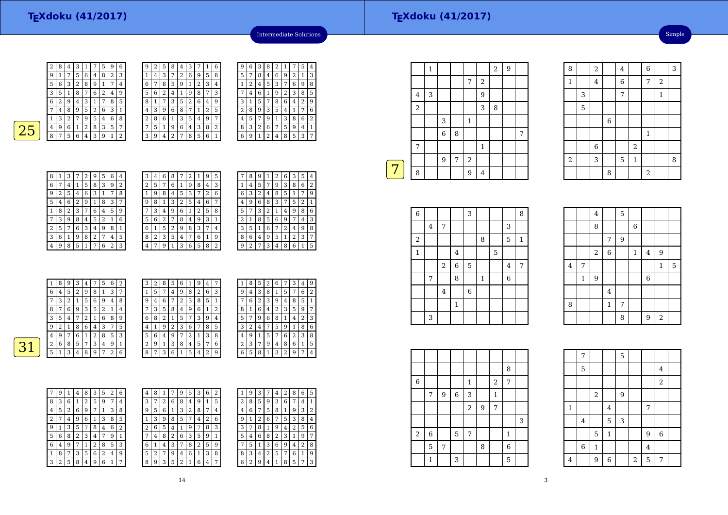| 2 | 8        | 4 | 3 | 1 | 7           | 5 | 9 | 6 |
|---|----------|---|---|---|-------------|---|---|---|
| 9 | 1        | 7 | 5 | 6 | 4           | 8 | 2 | 3 |
| 5 | 6        | 3 | 2 | 8 | 9           | 1 | 7 | 4 |
| 3 | 5        | 1 | 8 | 7 | 6           | 2 | 4 | 9 |
| 6 | 2        | 9 | 4 | 3 | $\mathbf 1$ | 7 | 8 | 5 |
| 7 | $\bf{4}$ | 8 | 9 | 5 | 2           | 6 | 3 | 1 |
| 1 | 3        | 2 | 7 | 9 | 5           | 4 | 6 | 8 |
| 4 | 9        | 6 | 1 | 2 | 8           | 3 | 5 | 7 |
| 8 | 7        | 5 | 6 | 4 | 3           | 9 | 1 | 2 |
|   |          |   |   |   |             |   |   |   |

| g | 2 | 5 | 8              | 4 | 3 | 7              | 1 | 6              |
|---|---|---|----------------|---|---|----------------|---|----------------|
| 1 | 4 | 3 | 7              | 2 | 6 | 9              | 5 | 8              |
| 6 | 7 | 8 | 5              | 9 | 1 | $\overline{2}$ | 3 | 4              |
| 5 | 6 | 2 | 4              | 1 | 9 | 8              | 7 | 3              |
| 8 | 1 | 7 | 3              | 5 | 2 | 6              | 4 | 9              |
| 4 | 3 | 9 | 6              | 8 | 7 | $\mathbf{1}$   | 2 | 5              |
| 2 | 8 | 6 | 1              | 3 | 5 | 4              | 9 | 7              |
| 7 | 5 | 1 | 9              | 6 | 4 | 3              | 8 | $\overline{2}$ |
| 3 | 9 | 4 | $\overline{2}$ | 7 | 8 | 5              | 6 | 1              |

| ĉ                       | 9 | 6 | З | 8              | 2 | 1              |                | 5 | 4              |
|-------------------------|---|---|---|----------------|---|----------------|----------------|---|----------------|
| 3                       | 5 | 7 | 8 | 4              | 6 | 9              | $\overline{2}$ | 1 | 3              |
| 1                       | 1 | 2 | 4 | 5              | 3 | 7              | 6              | 9 | 8              |
| 3                       |   | 4 | 6 | 1              | 9 | $\overline{2}$ | 3              | 8 | 5              |
| ϡ                       | 3 | 1 | 5 | 7              | 8 | 6              | 4              | 2 | 9              |
| $\overline{\mathbf{5}}$ | 2 | 8 | 9 | 3              | 5 | 4              | $\mathbf{1}$   | 7 | 6              |
| 7                       | 4 | 5 | 7 | 9              | 1 | 3              | 8              | 6 | $\overline{2}$ |
| $\overline{\mathbf{r}}$ | 8 | 3 | 2 | 6              | 7 | 5              | 9              | 4 | 1              |
|                         | 6 | 9 | 1 | $\overline{2}$ | 4 | 8              | 5              | 3 | 7              |
|                         |   |   |   |                |   |                |                |   |                |

Intermediate Solutions

| <b>Service Service</b> | <b>Contract Contract Contract Contract Contract Contract Contract Contract Contract Contract Contract Contract Co</b> |
|------------------------|-----------------------------------------------------------------------------------------------------------------------|
|                        |                                                                                                                       |

| 8              | 1 | 3 | 7              | 2 | 9 | 5 | 6 | 4 |
|----------------|---|---|----------------|---|---|---|---|---|
| 6              | 7 | 4 | 1              | 5 | 8 | 3 | 9 | 2 |
| 9              | 2 | 5 | 4              | 6 | 3 | 1 | 7 | 8 |
| 5              | 4 | 6 | $\overline{2}$ | 9 | 1 | 8 | 3 | 7 |
| 1              | 8 | 2 | 3              | 7 | 6 | 4 | 5 | 9 |
| 7              | 3 | 9 | 8              | 4 | 5 | 2 | 1 | 6 |
| $\overline{2}$ | 5 | 7 | 6              | 3 | 4 | 9 | 8 | 1 |
| 3              | 6 | 1 | 9              | 8 | 2 | 7 | 4 | 5 |
| 4              | 9 | 8 | 5              | 1 | 7 | 6 | 2 | 3 |

| З | 4 | 6              | 8 | 7 | 2 | 1 | 9 | 5 |  |
|---|---|----------------|---|---|---|---|---|---|--|
| 2 | 5 | 7              | 6 | 1 | 9 | 8 | 4 | 3 |  |
| 1 | 9 | 8              | 4 | 5 | 3 | 7 | 2 | 6 |  |
| 9 | 8 | 1              | 3 | 2 | 5 | 4 | 6 | 7 |  |
| 7 | 3 | $\overline{4}$ | 9 | 6 | 1 | 2 | 5 | 8 |  |
| 5 | 6 | 2              | 7 | 8 | 4 | 9 | 3 | 1 |  |
| 6 | 1 | 5              | 2 | 9 | 8 | 3 | 7 | 4 |  |
| 8 | 2 | 3              | 5 | 4 | 7 | 6 | 1 | 9 |  |
| 4 |   | 9              | 1 | 3 | 6 | 5 | 8 | 2 |  |

| 9<br>3<br>8<br>6<br>5<br>2<br>4<br>1<br>8<br>3<br>2<br>9<br>6<br>5<br>1<br>4<br>3<br>6<br>2<br>8<br>9<br>1<br>5<br>7<br>4<br>3<br>2<br>$\mathbf{1}$<br>8<br>9<br>6<br>5<br>4<br>6<br>3<br>8<br>9<br>5<br>2<br>4<br>1<br>7 |  |
|---------------------------------------------------------------------------------------------------------------------------------------------------------------------------------------------------------------------------|--|
|                                                                                                                                                                                                                           |  |
|                                                                                                                                                                                                                           |  |
|                                                                                                                                                                                                                           |  |
|                                                                                                                                                                                                                           |  |
|                                                                                                                                                                                                                           |  |
| 8<br>9<br>6<br>3<br>2<br>5<br>1<br>7<br>4                                                                                                                                                                                 |  |
| 2<br>6<br>3<br>5<br>8<br>9<br>4<br>7<br>1                                                                                                                                                                                 |  |
| 8<br>6<br>2<br>3<br>9<br>7<br>5<br>4<br>1                                                                                                                                                                                 |  |

|   |          | 8 | 9 | 3 | 4 | 7 | 5              | 6 | 2 |      | 2              | 8                    | 5              | 6 |                | 9              | 4            | ⇁ |   | 8           | 5 | 2 | 6 | 7              | 3  | 4              | 9   |
|---|----------|---|---|---|---|---|----------------|---|---|------|----------------|----------------------|----------------|---|----------------|----------------|--------------|---|---|-------------|---|---|---|----------------|----|----------------|-----|
|   | 6        | 4 | 5 | ∍ | 9 | 8 |                | 3 | 7 |      | 5              | 7                    | $\overline{4}$ | 9 | 8              | $\overline{2}$ | 6            | 3 | 9 | $4^{\circ}$ | 3 | 8 | T | 5              | ⇁  | 6              | 2   |
|   | ⇁        | 3 | 2 |   | 5 | 6 | 9              | 4 | 8 | 9    | 4              | 6                    | 7              | 2 | 3              | 8              | 5            |   | ⇁ | 6           | 2 | 3 | 9 | 4              | 8  | 5              | 1   |
|   | 8        | 7 | 6 | 9 | 3 | 5 | C.             |   | 4 | $-7$ | 3              | 5                    | 8              | 4 | 9              | 6              | $\mathbf{1}$ | 2 | 8 |             | 6 | 4 | 2 | 3              | 5  | 9              | 7   |
|   | 3        | 5 | 4 | ⇁ | っ |   | 6              | 8 | 9 | 6    | 8              | 2                    | 1              | 5 | 7              | 3              | 9            | 4 | 5 | 7           | 9 | 6 | 8 | 1              | 4  | 2              | 3   |
|   | 9        | 2 | 1 | 8 | 6 | 4 | 3              | 7 | 5 | 4    | $\mathbf{1}$   | 9                    | 2              | 3 | 6              | 7              | 8            | 5 | 3 | 2           | 4 | 7 | 5 | 9              |    | 8              | 6   |
|   | 4        | 9 | 7 | 6 |   | 2 | 8              | 5 | 3 | 5    | 6              | $\overline{4}$       | 9              | ⇁ | ົ              |                | 3            | 8 |   | 9           |   | 5 | 7 | 6              | C. | 3              | 8   |
| ∽ | $\Omega$ | 6 | 8 | 5 | 7 | 3 | 4              | 9 |   | ∠    | 9              | $\blacktriangleleft$ | 3              | 8 | $\overline{4}$ | 5              | 7            | 6 | ∍ | 3           | 7 | 9 | 4 | 8              | 6  |                | 5   |
|   | 5        | 1 | 3 | 4 | 8 | 9 | $\overline{ }$ | 2 | 6 | 8    | $\overline{ }$ | 3                    | 6              |   | 5              | 4              | 2            | 9 | 6 | 5           | 8 |   | 3 | $\overline{2}$ | 9  | $\overline{ }$ | l 4 |
|   |          |   |   |   |   |   |                |   |   |      |                |                      |                |   |                |                |              |   |   |             |   |   |   |                |    |                |     |

| 7 | 9 | 1 | 4 | 8 | 3 | 5 | $\overline{2}$ | 6            | 4 | 8            |
|---|---|---|---|---|---|---|----------------|--------------|---|--------------|
| 8 | 3 | 6 | 1 | 2 | 5 | 9 | 7              | 4            | 3 | 7            |
| 4 | 5 | 2 | 6 | 9 | 7 | 1 | 3              | 8            | 9 | 5            |
| 2 | 7 | 4 | 9 | 6 | 1 | 3 | 8              | 5            | 1 | 3            |
| 9 | 1 | 3 | 5 | 7 | 8 | 4 | 6              | 2            | 2 | 6            |
| 5 | 6 | 8 | 2 | 3 | 4 | 7 | 9              | $\mathbf{1}$ | 7 | 4            |
| 6 | 4 | 9 | 7 | 1 | 2 | 8 | 5              | 3            | 6 | $\mathbf{1}$ |
| 1 | 8 | 7 | 3 | 5 | 6 | 2 | 4              | 9            | 5 | 2            |
| 3 | 2 | 5 | 8 | 4 | 9 | 6 | $\mathbf{1}$   | 7            | 8 | g            |
|   |   |   |   |   |   |   |                |              |   |              |

| 8 |   |   | 9 | 5 | 3              | 6 | 2 |   | 9 | 3 |   | 4 | 2 | 8 |
|---|---|---|---|---|----------------|---|---|---|---|---|---|---|---|---|
| 7 | 2 | 6 | 8 | 4 | 9              | 1 | 5 | 2 | 8 | 5 | 9 | 3 | 6 |   |
| 5 | 6 | 1 | 3 | 2 | 8              | 7 | 4 | 4 | 6 | 7 | 5 | 8 | 1 | 9 |
| 3 | g | 8 | 5 | 7 | 4              | 2 | 6 | 9 | 1 | 2 | 6 | 7 | 5 | 3 |
| 6 | 5 | 4 | 1 | 9 | 7              | 8 | 3 | 3 | 7 | 8 | 1 | 9 | 4 |   |
| 4 | 8 | 2 | 6 | 3 | 5              | 9 | 1 | 5 | 4 | 6 | 8 | 2 | 3 |   |
| 1 | 4 | 3 | 7 | 8 | $\overline{2}$ | 5 | 9 |   | 5 | 1 | 3 | 6 | 9 | 4 |
| 2 | 7 | 9 | 4 | 6 | 1              | 3 | 8 | 8 | 3 | 4 | 2 | 5 | 7 | 6 |
| 9 | 3 | 5 | 2 | 1 | 6              | 4 | 7 | 6 | 2 | 9 | 4 | 1 | 8 | 5 |
|   |   |   |   |   |                |   |   |   |   |   |   |   |   |   |

| 1 | 9              | 3 | 7              | 4 | 2 | 8              | 6 | 5 |
|---|----------------|---|----------------|---|---|----------------|---|---|
| 2 | 8              | 5 | 9              | 3 | 6 | 7              | 4 | 1 |
| 4 | 6              | 7 | 5              | 8 | 1 | 9              | 3 | 2 |
| 9 | 1              | 2 | 6              | 7 | 5 | 3              | 8 | 4 |
| 3 | 7              | 8 | 1              | 9 | 4 | $\overline{2}$ | 5 | 6 |
| 5 | 4              | 6 | 8              | 2 | 3 | 1              | 9 | 7 |
|   | 5              | 1 | 3              | 6 | 9 | 4              | 2 | 8 |
| 8 | 3              | 4 | $\overline{2}$ | 5 | 7 | 6              | 1 | 9 |
| 6 | $\overline{2}$ | 9 | 4              | 1 | 8 | 5              |   | 3 |

|   |            | $\mathbf{1}$ |                  |   |              |                | $\boldsymbol{2}$ | 9 |   |
|---|------------|--------------|------------------|---|--------------|----------------|------------------|---|---|
|   |            |              |                  |   | 7            | $\overline{2}$ |                  |   |   |
|   | 4          | 3            |                  |   |              | 9              |                  |   |   |
|   | $\sqrt{2}$ |              |                  |   |              | 3              | 8                |   |   |
|   |            |              | 3                |   | $\mathbf{1}$ |                |                  |   |   |
|   |            |              | $\boldsymbol{6}$ | 8 |              |                |                  |   | 7 |
|   | 7          |              |                  |   |              | $\mathbf{1}$   |                  |   |   |
|   |            |              | 9                | 7 | $\sqrt{2}$   |                |                  |   |   |
| 7 | 8          |              |                  |   | 9            | $\bf 4$        |                  |   |   |

| $\overline{6}$ |                         |                         |                | 3           |              |   |             | 8       |
|----------------|-------------------------|-------------------------|----------------|-------------|--------------|---|-------------|---------|
|                | $\overline{\mathbf{4}}$ | 7                       |                |             |              |   | 3           |         |
| $\sqrt{2}$     |                         |                         |                |             | 8            |   | 5           | $\,1\,$ |
| $\mathbf{1}$   |                         |                         | $\overline{4}$ |             |              | 5 |             |         |
|                |                         | $\,2$                   | $\,6$          | $\mathbf 5$ |              |   | 4           | 7       |
|                | 7                       |                         | 8              |             | $\mathbf{1}$ |   | $\,$ 6 $\,$ |         |
|                |                         | $\overline{\mathbf{4}}$ |                | $\,$ 6      |              |   |             |         |
|                |                         |                         | $\mathbf{1}$   |             |              |   |             |         |
|                | 3                       |                         |                |             |              |   |             |         |

|                |              | 4     |                  | 5 |                  |                |              |             |
|----------------|--------------|-------|------------------|---|------------------|----------------|--------------|-------------|
|                |              | 8     |                  |   | $\boldsymbol{6}$ |                |              |             |
|                |              |       | 7                | 9 |                  |                |              |             |
|                |              | $\,2$ | $\boldsymbol{6}$ |   | $\mathbf 1$      | $\overline{4}$ | 9            |             |
| $\overline{4}$ | 7            |       |                  |   |                  |                | $\mathbf{1}$ | $\mathbf 5$ |
|                | $\mathbf{1}$ | 9     |                  |   |                  | 6              |              |             |
|                |              |       | $\overline{4}$   |   |                  |                |              |             |
| 8              |              |       | $\mathbf{1}$     | 7 |                  |                |              |             |
|                |              |       |                  | 8 |                  | 9              | $\,2$        |             |

8

1

2

3

5

 $\frac{2}{4}$ 

6

 $\frac{3}{2}$  |  $\frac{7}{2}$ 

6

 $\begin{array}{|c|c|c|c|c|}\n\hline\n\text{6} & \text{2}\n\end{array}$ 

2 3 5 1 8 8

8 | 2

1 4 6 7 2

 $\begin{array}{|c|c|c|c|c|c|}\n\hline\n2 & 4 & 6 & 3 \\
\hline\n\end{array}$ 

 $\vert$  1

 $\frac{7}{1}$   $\frac{1}{1}$ 

1

Simple

|             |   |   |             |              |   |                  | 8            |   |
|-------------|---|---|-------------|--------------|---|------------------|--------------|---|
| $\,$ 6 $\,$ |   |   |             | $\mathbf{1}$ |   | $\boldsymbol{2}$ | 7            |   |
|             | 7 | 9 | $\,$ 6 $\,$ | 3            |   | $\mathbf{1}$     |              |   |
|             |   |   |             | $\sqrt{2}$   | 9 | 7                |              |   |
|             |   |   |             |              |   |                  |              | 3 |
| $\,2$       | 6 |   | 5           | 7            |   |                  | $\mathbf{1}$ |   |
|             | 5 | 7 |             |              | 8 |                  | 6            |   |
|             | 1 |   | 3           |              |   |                  | $\mathbf 5$  |   |

|                | 7           |              |                | 5 |       |                |                |  |
|----------------|-------------|--------------|----------------|---|-------|----------------|----------------|--|
|                | 5           |              |                |   |       |                | $\bf 4$        |  |
|                |             |              |                |   |       |                | $\overline{2}$ |  |
|                |             | $\,2$        |                | 9 |       |                |                |  |
| $\mathbf{1}$   |             |              | 4              |   |       | 7              |                |  |
|                | $\bf 4$     |              | 5              | 3 |       |                |                |  |
|                |             | $\mathbf 5$  | $\mathbf{1}$   |   |       | $\overline{9}$ | $\,$ 6 $\,$    |  |
|                | $\,$ 6 $\,$ | $\mathbf{1}$ |                |   |       | $\overline{4}$ |                |  |
| $\overline{4}$ |             | 9            | $\overline{6}$ |   | $\,2$ | 5              | 7              |  |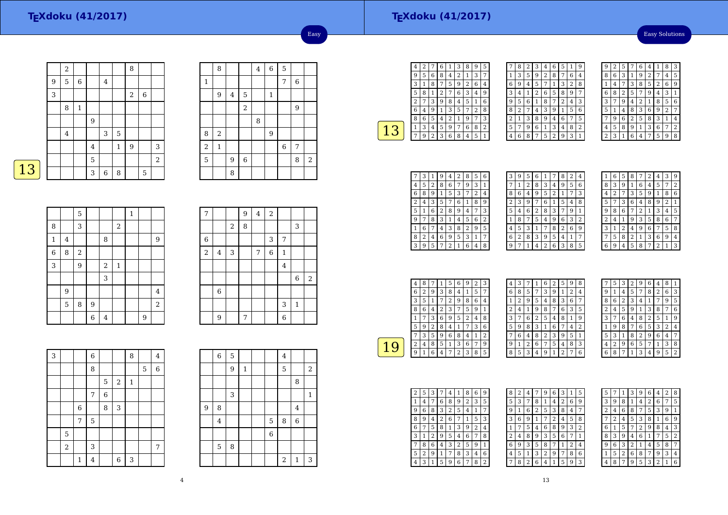### **TEXdoku (41/2017)**

Easy Solutions

|   | $\sqrt{2}$              |              |                |   |              | 8     |         |                |
|---|-------------------------|--------------|----------------|---|--------------|-------|---------|----------------|
| 9 | 5                       | $\,6\,$      |                | 4 |              |       |         |                |
| 3 |                         |              |                |   |              | $\,2$ | $\,6\,$ |                |
|   | 8                       | $\mathbf{1}$ |                |   |              |       |         |                |
|   |                         |              | 9              |   |              |       |         |                |
|   | $\overline{\mathbf{4}}$ |              |                | 3 | $\mathbf 5$  |       |         |                |
|   |                         |              | $\overline{4}$ |   | $\mathbf{1}$ | 9     |         | 3              |
|   |                         |              | 5              |   |              |       |         | $\overline{c}$ |
|   |                         |              | 3              | 6 | 8            |       | 5       |                |

|                | 8              |                         |                | $\overline{\mathbf{4}}$ | $\overline{6}$ | 5          |        |       |
|----------------|----------------|-------------------------|----------------|-------------------------|----------------|------------|--------|-------|
| $\,1\,$        |                |                         |                |                         |                | $\sqrt{ }$ | $\,$ 6 |       |
|                | 9              | $\overline{\mathbf{4}}$ | 5              |                         | $\mathbf 1$    |            |        |       |
|                |                |                         | $\overline{a}$ |                         |                |            | 9      |       |
|                |                |                         |                | 8                       |                |            |        |       |
| 8              | $\overline{c}$ |                         |                |                         | 9              |            |        |       |
| $\overline{2}$ | $\mathbf 1$    |                         |                |                         |                | 6          | 7      |       |
| 5              |                | 9                       | $\overline{6}$ |                         |                |            | 8      | $\,2$ |
|                |                | 8                       |                |                         |                |            |        |       |

Easy

13

|                |                         | 5     |                |                |            | $\mathbf{1}$ |   |                |
|----------------|-------------------------|-------|----------------|----------------|------------|--------------|---|----------------|
| 8              |                         | 3     |                |                | $\sqrt{2}$ |              |   |                |
| $\,1$          | $\overline{\mathbf{4}}$ |       |                | 8              |            |              |   | 9              |
| $\overline{6}$ | 8                       | $\,2$ |                |                |            |              |   |                |
| 3              |                         | 9     |                | $\sqrt{2}$     | $\,1\,$    |              |   |                |
|                |                         |       |                | 3              |            |              |   |                |
|                | 9                       |       |                |                |            |              |   | $\overline{4}$ |
|                | 5                       | 8     | $\overline{9}$ |                |            |              |   | $\sqrt{2}$     |
|                |                         |       | 6              | $\overline{4}$ |            |              | 9 |                |

| 7              |                |       | 9 | $\bf 4$ | $\,2$ |              |              |                  |
|----------------|----------------|-------|---|---------|-------|--------------|--------------|------------------|
|                |                | $\,2$ | 8 |         |       |              | 3            |                  |
| 6              |                |       |   |         | 3     | 7            |              |                  |
| $\overline{c}$ | $\overline{4}$ | 3     |   | 7       | 6     | $\mathbf{1}$ |              |                  |
|                |                |       |   |         |       | $\bf 4$      |              |                  |
|                |                |       |   |         |       |              | 6            | $\boldsymbol{2}$ |
|                | 6              |       |   |         |       |              |              |                  |
|                |                |       |   |         |       | 3            | $\mathbf{1}$ |                  |
|                | 9              |       | 7 |         |       | 6            |              |                  |

| 3 |       |             | 6           |   |       | 8            |   | $\overline{4}$ |
|---|-------|-------------|-------------|---|-------|--------------|---|----------------|
|   |       |             | 8           |   |       |              | 5 | 6              |
|   |       |             |             | 5 | $\,2$ | $\mathbf{1}$ |   |                |
|   |       |             | 7           | 6 |       |              |   |                |
|   |       | 6           |             | 8 | 3     |              |   |                |
|   |       | $\sqrt{ }$  | $\mathbf 5$ |   |       |              |   |                |
|   | 5     |             |             |   |       |              |   |                |
|   | $\,2$ |             | 3           |   |       |              |   | 7              |
|   |       | $\mathbf 1$ | 4           |   | 6     | 3            |   |                |

|                | 6 | 5 |              |             | $\overline{4}$ |              |                         |
|----------------|---|---|--------------|-------------|----------------|--------------|-------------------------|
|                |   | 9 | $\mathbf{1}$ |             | 5              |              | $\overline{\mathbf{c}}$ |
|                |   |   |              |             |                | 8            |                         |
|                |   | 3 |              |             |                |              | $\mathbf{1}$            |
| $\overline{9}$ | 8 |   |              |             |                | $\bf 4$      |                         |
|                | 4 |   |              | $\mathbf 5$ | 8              | $\,$ 6 $\,$  |                         |
|                |   |   |              | 6           |                |              |                         |
|                | 5 | 8 |              |             |                |              |                         |
|                |   |   |              |             | $\sqrt{2}$     | $\mathbf{1}$ | 3                       |

| 4              | 2 |                | 6              |   | 3 | 8 | 9              | 5            |
|----------------|---|----------------|----------------|---|---|---|----------------|--------------|
| 9              | 5 | 6              | 8              | 4 | 2 | 1 | 3              | 7            |
| 3              | 1 | 8              |                | 5 | 9 | 2 | 6              | 4            |
| 5              | 8 | 1              | $\overline{c}$ | 7 | 6 | 3 | 4              | g            |
| $\overline{c}$ |   | 3              | 9              | 8 | 4 | 5 | 1              | 6            |
| 6              | 4 | 9              | $\mathbf{1}$   | 3 | 5 | 7 | $\overline{c}$ | 8            |
| 8              | 6 | 5              | 4              | 2 | 1 | 9 | 7              | 3            |
| 1              | 3 | 4              | 5              | 9 | 7 | 6 | 8              | 2            |
|                | 9 | $\overline{c}$ | 3              | 6 | 8 | 4 | 5              | $\mathbf{1}$ |
|                |   |                |                |   |   |   |                |              |

|   | 8 | 2 | 3              | 4              | 6              | 5 | 1              | 9 |
|---|---|---|----------------|----------------|----------------|---|----------------|---|
| 1 | 3 | 5 | 9              | $\overline{2}$ | 8              | 7 | 6              | 4 |
| 6 | 9 | 4 | 5              | 7              | 1              | 3 | $\overline{2}$ | 8 |
| 3 | 4 | 1 | $\overline{2}$ | 6              | 5              | 8 | 9              |   |
| 9 | 5 | 6 | 1              | 8              | 7              | 2 | 4              | 3 |
| 8 | 2 | 7 | 4              | 3              | 9              | 1 | 5              | 6 |
| 2 | 1 | 3 | 8              | 9              | 4              | 6 | 7              | 5 |
| 5 | 7 | 9 | 6              | 1              | 3              | 4 | 8              | 2 |
| 4 | 6 | 8 | 7              | 5              | $\overline{2}$ | 9 | 3              | 1 |

| g | 2 | 5 |                | 6 | 4 | 1 | 8              | 3 |
|---|---|---|----------------|---|---|---|----------------|---|
| 8 | 6 | 3 | 1              | 9 | 2 |   | 4              | 5 |
|   | 4 | 7 | 3              | 8 | 5 | 2 | 6              | g |
| 6 | 8 | 2 | 5              |   | 9 | 4 | 3              | 1 |
| 3 |   | g | 4              | 2 | 1 | 8 | 5              | 6 |
| 5 | 1 | 4 | 8              | 3 | 6 | 9 | $\overline{2}$ | 7 |
|   | 9 | 6 | $\overline{2}$ | 5 | 8 | 3 | 1              | 4 |
| 4 | 5 | 8 | 9              | 1 | 3 | 6 | 7              | 2 |
|   | 3 |   | 6              | 4 |   | 5 | ä              | 8 |

| 7 | 3 | 1 | 9 | 4 | 2 | 8 | 5              | 6              |
|---|---|---|---|---|---|---|----------------|----------------|
| 4 | 5 | 2 | 8 | 6 | 7 | 9 | 3              | 1              |
| 6 | 8 | 9 | 1 | 5 | 3 |   | 2              | 4              |
| 2 | 4 | 3 | 5 | 7 | 6 | 1 | 8              | 9              |
| 5 | 1 | 6 | 2 | 8 | 9 | 4 | 7              | 3              |
| 9 | 7 | 8 | 3 | 1 | 4 | 5 | 6              | $\overline{2}$ |
| 1 | 6 |   | 4 | 3 | 8 | 2 | 9              | 5              |
| 8 | 2 | 4 | 6 | 9 | 5 | 3 | 1              | 7              |
| 3 | 9 | 5 | 7 | 2 | 1 | 6 | $\overline{4}$ | 8              |

| З | 9 | 5 | 6              | 1 | 7 | 8              | 2 | 4            |
|---|---|---|----------------|---|---|----------------|---|--------------|
| 7 | 1 | 2 | 8              | 3 | 4 | 9              | 5 | 6            |
| 8 | 6 | 4 | 9              | 5 | 2 | 1              | 7 | 3            |
| 2 | 3 | 9 | 7              | 6 | 1 | 5              | 4 | 8            |
| 5 | 4 | 6 | $\overline{2}$ | 8 | 3 | 7              | 9 | $\mathbf{1}$ |
| 1 | 8 | 7 | 5              | 4 | 9 | 6              | 3 | 2            |
| 4 | 5 | 3 | 1              | 7 | 8 | $\overline{2}$ | 6 | 9            |
| 6 | 2 | 8 | 3              | 9 | 5 | 4              | 1 | 7            |
| g | 7 | 1 | 4              | 2 | 6 | 3              | 8 | 5            |
|   |   |   |                |   |   |                |   |              |

|   | 6 | 5 | 8 |   | 2 | 4              | 3 | g |
|---|---|---|---|---|---|----------------|---|---|
| 8 | 3 | 9 | 1 | 6 | 4 | 5              | 7 | 2 |
| 4 | 2 | 7 | 3 | 5 | g | 1              | 8 | 6 |
| 5 | 7 | 3 | 6 | 4 | 8 | 9              | 2 | 1 |
| 9 | 8 | 6 | 7 | 2 | 1 | 3              | 4 | 5 |
| 2 | 4 | 1 | 9 | 3 | 5 | 8              | 6 | 7 |
| 3 | 1 | 2 | 4 | 9 | 6 | 7              | 5 | 8 |
| 7 | 5 | 8 | 2 | 1 | 3 | 6              | 9 | 4 |
| հ | q | 4 | 5 | 8 |   | $\overline{2}$ | 1 | 3 |

|   | 4 | 8 | 7 | 1 | 5              | 6 | 9 | 2 | 3 |
|---|---|---|---|---|----------------|---|---|---|---|
|   | 6 | 2 | 9 | 3 | 8              | 4 | 1 | 5 | 7 |
|   | 3 | 5 | 1 | 7 | $\overline{2}$ | 9 | 8 | 6 | 4 |
|   | 8 | 6 | 4 | 2 | 3              | 7 | 5 | 9 | 1 |
|   | 1 | 7 | 3 | 6 | 9              | 5 | 2 | 4 | 8 |
|   | 5 | 9 | 2 | 8 | 4              | 1 | 7 | 3 | 6 |
|   |   | 3 | 5 | 9 | 6              | 8 | 4 | 1 | 2 |
| Ч | 2 | 4 | 8 | 5 | 1              | 3 | 6 | 7 | 9 |
|   | 9 | 1 | 6 | 4 | 7              | 2 | 3 | 8 | 5 |
|   |   |   |   |   |                |   |   |   |   |

| 4 | 3 | 7 | 1 | 6 | 2 | 5              | 9 | 8 |  |
|---|---|---|---|---|---|----------------|---|---|--|
| 6 | 8 | 5 | 7 | 3 | 9 | 1              | 2 | 4 |  |
| 1 | 2 | 9 | 5 | 4 | 8 | 3              | 6 | 7 |  |
| 2 | 4 | 1 | 9 | 8 | 7 | 6              | 3 | 5 |  |
| 3 | 7 | 6 | 2 | 5 | 4 | 8              | 1 | 9 |  |
| 5 | 9 | 8 | 3 | 1 | 6 | 7              | 4 | 2 |  |
|   | 6 | 4 | 8 | 2 | 3 | 9              | 5 | 1 |  |
| 9 | 1 | 2 | 6 | 7 | 5 | 4              | 8 | 3 |  |
| 8 | 5 | 3 | 4 | 9 | 1 | $\overline{2}$ | 7 | 6 |  |

|   | 5 | 3 | 2 | 9              | 6 | 4 | 8              | 1 |
|---|---|---|---|----------------|---|---|----------------|---|
| g | 1 | 4 | 5 | 7              | 8 | 2 | 6              | 3 |
| 8 | 6 | 2 | 3 | 4              | 1 |   | 9              | 5 |
| 2 | 4 | 5 | 9 | 1              | 3 | 8 |                | 6 |
| 3 | 7 | 6 | 4 | 8              | 2 | 5 | 1              | 9 |
| 1 | 9 | 8 | 7 | 6              | 5 | 3 | $\overline{2}$ | 4 |
| 5 | 3 | 1 | 8 | $\overline{2}$ | 9 | 6 | 4              | 7 |
| 4 | 2 | 9 | 6 | 5              | 7 | 1 | 3              | 8 |
| 6 | 8 |   | 1 | 3              | 4 | 9 | 5              | 2 |

| 2 | 5 | 3 |   | 4 | 1 | 8 | 6 | 9 |
|---|---|---|---|---|---|---|---|---|
| 1 | 4 | 7 | 6 | 8 | 9 | 2 | 3 | 5 |
| 9 | 6 | 8 | 3 | 2 | 5 | 4 | 1 | 7 |
| 8 | 9 | 4 | 2 | 6 | 7 | 1 | 5 | 3 |
| 6 | 7 | 5 | 8 | 1 | 3 | 9 | 2 | 4 |
| 3 | 1 | 2 | 9 | 5 | 4 | 6 | 7 | 8 |
| 7 | 8 | 6 | 4 | 3 | 2 | 5 | 9 | 1 |
| 5 | 2 | 9 | 1 | 7 | 8 | 3 | 4 | 6 |
| 4 | 3 | 1 | 5 | 9 | 6 | 7 | 8 | 2 |

| 8              | 2 | 4              |                | 9              | 6 | 3              | 1              | 5 |
|----------------|---|----------------|----------------|----------------|---|----------------|----------------|---|
| 5              | 3 | 7              | 8              | 1              | 4 | $\overline{2}$ | 6              | 9 |
| g              | 1 | 6              | $\overline{2}$ | 5              | 3 | 8              | 4              |   |
| 3              | 6 | 9              | 1              | 7              | 2 | 4              | 5              | 8 |
| 1              | 7 | 5              | 4              | 6              | 8 | 9              | 3              | 2 |
| $\overline{2}$ | 4 | 8              | 9              | 3              | 5 | 6              | 7              | 1 |
| 6              | 9 | 3              | 5              | 8              | 7 | 1              | $\overline{2}$ | 4 |
| 4              | 5 | 1              | 3              | $\overline{2}$ | 9 | 7              | 8              | 6 |
|                | 8 | $\overline{2}$ | 6              | 4              | 1 | 5              | 9              | 3 |

| 5 |   | 1 | 3 | 9 | 6              | 4              | 2 | 8 |
|---|---|---|---|---|----------------|----------------|---|---|
| 3 | 9 | 8 | 1 | 4 | $\overline{2}$ | 6              |   | 5 |
| 2 | 4 | 6 | 8 | 7 | 5              | 3              | 9 | 1 |
| 7 | 2 | 4 | 5 | 3 | 8              | 1              | 6 | 9 |
| 6 | 1 | 5 |   | 2 | 9              | 8              | 4 | 3 |
| 8 | 3 | 9 | 4 | 6 | 1              | 7              | 5 | 2 |
| g | 6 | 3 | 2 | 1 | 4              | 5              | 8 | 7 |
| 1 | 5 | 2 | 6 | 8 | 7              | 9              | 3 | 4 |
|   | 8 | 7 | 9 | 5 | 3              | $\overline{2}$ | 1 | 6 |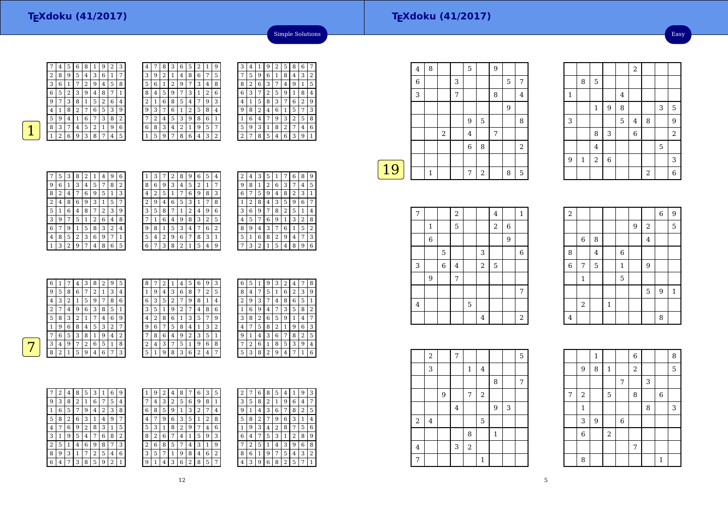|   | 4 | 5 | 6              | 8              |   |   | 2 | 3 |
|---|---|---|----------------|----------------|---|---|---|---|
| 2 | 8 | 9 | 5              | 4              | 3 | 6 | 1 |   |
| 3 | 6 |   | 7              | $\overline{2}$ | 9 | 4 | 5 | 8 |
| 6 | 5 | 2 | 3              | g              | 4 | 8 |   | 1 |
| 9 |   | 3 | 8              | 1              | 5 | 2 | 6 | 4 |
| 4 |   | 8 | $\overline{2}$ | 7              | 6 | 5 | 3 | 9 |
| 5 | 9 | 4 | 1              | 6              |   | 3 | 8 | 2 |
| 8 | 3 | 7 | 4              | 5              | 2 |   | 9 | 6 |
|   | 2 | 6 | 9              | 3              | 8 |   | 4 | 5 |

| 4 |   | 8 | 3 | 6 | 5 | 2 | 1              | 9              |
|---|---|---|---|---|---|---|----------------|----------------|
| 3 | 9 | 2 | 1 | 4 | 8 | 6 | 7              | 5              |
| 5 | 6 | 1 | 2 | 9 | 7 | 3 | 4              | 8              |
| 8 | 4 | 5 | 9 | 7 | 3 | 1 | $\overline{2}$ | 6              |
| 2 | 1 | 6 | 8 | 5 | 4 | 7 | 9              | 3              |
| 9 | 3 | 7 | 6 | 1 | 2 | 5 | 8              | 4              |
|   | 2 | 4 | 5 | 3 | 9 | 8 | 6              | 1              |
| 6 | 8 | 3 | 4 | 2 | 1 | 9 | 5              | 7              |
|   | 5 | 9 | 7 | 8 | 6 | 4 | 3              | $\overline{2}$ |

| З              | 4              | 1 | 9              | 2 | 5              | 8 | 6 | 7 |
|----------------|----------------|---|----------------|---|----------------|---|---|---|
|                | 5              | 9 | 6              | 1 | 8              | 4 | 3 | 2 |
| 8              | $\overline{2}$ | 6 | 3              | 7 | 4              | 9 | 1 | 5 |
| 6              | 3              | 7 | $\overline{c}$ | 5 | 9              | 1 | 8 | 4 |
| 4              | 1              | 5 | 8              | 3 | 7              | 6 | 2 | 9 |
| 9              | 8              | 2 | 4              | 6 | $\mathbf{1}$   | 5 | 7 | 3 |
| 1              | 6              | 4 | 7              | 9 | 3              | 2 | 5 | 8 |
| 5              | 9              | 3 | 1              | 8 | $\overline{2}$ | 7 | 4 | 6 |
| $\overline{c}$ | 7              | 8 | 5              | 4 | 6              | 3 | 9 | 1 |

Simple Solutions

| 7 | 5 | 3 | 8            | 2 |   | 4 | 9 | 6 |
|---|---|---|--------------|---|---|---|---|---|
| 9 | 6 | 1 | 3            | 4 | 5 | 7 | 8 | 2 |
| 8 | 2 | 4 | 7            | 6 | 9 | 5 | 1 | 3 |
| 2 | 4 | 8 | 6            | 9 | 3 | 1 | 5 | 7 |
| 5 | 1 | 6 | 4            | 8 | 7 | 2 | 3 | 9 |
| 3 | 9 | 7 | 5            | 1 | 2 | 6 | 4 | 8 |
| 6 | 7 | 9 | $\mathbf{1}$ | 5 | 8 | 3 | 2 | 4 |
| 4 | 8 | 5 | 2            | 3 | 6 | 9 | 7 | 1 |
|   | 3 | 2 | 9            | 7 | 4 | 8 | 6 | 5 |

| 1              | З |   | 2 | 8 | 9 | 6              | 5 | 4 |  |
|----------------|---|---|---|---|---|----------------|---|---|--|
| 8              | 6 | 9 | 3 | 4 | 5 | $\overline{2}$ | 1 | 7 |  |
| 4              | 2 | 5 | 1 | 7 | 6 | 9              | 8 | 3 |  |
| $\overline{2}$ | 9 | 4 | 6 | 5 | 3 | 1              | 7 | 8 |  |
| 3              | 5 | 8 | 7 | 1 | 2 | 4              | 9 | 6 |  |
|                | 1 | 6 | 4 | 9 | 8 | 3              | 2 | 5 |  |
| 9              | 8 | 1 | 5 | 3 | 4 | 7              | 6 | 2 |  |
| 5              | 4 | 2 | 9 | 6 | 7 | 8              | 3 | 1 |  |
| 6              | 7 | 3 | 8 | 2 | 1 | 5              | 4 | 9 |  |

|   | 4 | З              |   |   |   |   |   | g                     |
|---|---|----------------|---|---|---|---|---|-----------------------|
| 9 | 8 | 1              | 2 | 6 | 3 | 7 | 4 | 5                     |
| 6 | 7 | 5              | 9 | 4 | 8 | 2 | 3 | 1                     |
| 1 | 2 | 8              | 4 | 3 | 5 | 9 | 6 | 7                     |
| 3 | 6 | 9              | 7 | 8 | 2 | 5 | 1 | 4                     |
| 4 | 5 | 7              | 6 | 9 | 1 | 3 | 2 | 8                     |
| 8 | 9 | 4              | 3 | 7 | 6 | 1 | 5 | $\overline{2}$        |
| 5 | 1 | 6              | 8 | 2 | 9 | 4 | 7 | 3                     |
|   | 3 | $\overline{2}$ | 1 | 5 | 4 | 8 | 9 | 6                     |
|   | 2 |                |   |   |   |   |   | 6<br>8<br>5<br>1<br>7 |

| 6 |                | 7 | 4 | 3 | 8       | 2              | 9              | 5              | 8 | 7  | 2 | 1 | 4 | 5.            | 6                  | 9 | 3             | 6              | 5              | 1 | 9  | 3 | 2 | 4 | 7 | -8             |
|---|----------------|---|---|---|---------|----------------|----------------|----------------|---|----|---|---|---|---------------|--------------------|---|---------------|----------------|----------------|---|----|---|---|---|---|----------------|
| 9 | 5              | 8 | 6 | 7 | 2       |                | 3              | $\overline{4}$ |   | 9  | 4 | 3 | 6 | 8             | 7                  | 2 | 5             | 8              | 4              | 7 | 5. |   | 6 | 2 | 3 | 9              |
| 4 | 3              | 2 |   | 5 | 9       | 7              | 8              | 6              | 6 | 3  | 5 | 2 | 7 | 9             | 8                  | 1 | 4             | $\overline{2}$ | 9              | 3 | 7  | 4 | 8 | 6 | 5 |                |
| 2 | 7              | 4 | 9 | 6 | 3       | 8              | 5              | л.             | 3 | 5. | 1 | 9 | ∍ | 7             | $\overline{4}$     | 8 | 6             |                | 6              | 9 | 4  | 7 | 3 | 5 | 8 | 2              |
| 5 | 8              | 3 | 2 |   | 7       | $\overline{4}$ | 6              | 9              | 4 | 2  | 8 | 6 |   | 3             | 5                  | 7 | 9             | 3              | 8              | 2 | 6  | 5 | 9 |   | 4 | 7              |
|   | 9              | 6 | 8 | 4 | 5       | 3              | 2              | ⇁              | 9 | 6  | 7 | 5 | 8 | $^{\circ}4$ . | 1.                 | 3 | $\Omega$<br>∠ | 4              | ⇁              | 5 | 8  | 2 |   | 9 | 6 | 3              |
| ⇁ | 6              | 5 | 3 | 8 | 1<br>Ŧ. | 9              | 4              | 2              | ⇁ | 8  | 6 | 4 | 9 | ∍             | 3                  | 5 |               | 9              |                | 4 | 3  | 6 | 7 | 8 | 2 | 5              |
| 3 | $\overline{4}$ | 9 | 7 | 2 | 6       | 5              |                | 8              | ∍ | 4  | 3 | 7 | 5 |               | 9                  | 6 | 8             | 7              | $\overline{2}$ | 6 |    | 8 | 5 | 3 | 9 | $\overline{4}$ |
| 8 | 2              |   | 5 | 9 | 4       | 6              | $\overline{ }$ | 3              | 5 | 1  | 9 | 8 | 3 | 6             | $\mathcal{L}$<br>∠ | 4 | ⇁             | 5              | 3              | 8 | 2  | 9 | 4 | 7 |   | 6              |
|   |                |   |   |   |         |                |                |                |   |    |   |   |   |               |                    |   |               |                |                |   |    |   |   |   |   |                |

6

4

5  $3 \mid 1$ 

 $\begin{array}{|c|c|c|c|c|}\n\hline\n 6 & 8 & 5 & 7\n\end{array}$  $\sqrt{2}$  6 8

| 7 | 2 | 4              | 8              | 5 | 3 | 1 | 6              | 9              |
|---|---|----------------|----------------|---|---|---|----------------|----------------|
| 9 | 3 | 8              | $\overline{2}$ | 1 | 6 | 7 | 5              | 4              |
| 1 | 6 | 5              | 7              | 9 | 4 | 2 | 3              | 8              |
| 5 | 8 | $\overline{2}$ | 6              | 3 | 1 | 4 | 9              | 7              |
| 4 | 7 | 6              | 9              | 2 | 8 | 3 | 1              | 5              |
| 3 | 1 | 9              | 5              | 4 | 7 | 6 | 8              | $\overline{2}$ |
| 2 | 5 | 1              | 4              | 6 | 9 | 8 | 7              | 3              |
| 8 | 9 | 3              | 1              | 7 | 2 | 5 | 4              | 6              |
| 6 | 4 | 7              | 3              | 8 | 5 | 9 | $\overline{2}$ | 1              |

| 1 | 9 | 2 | 4 | 8 |   | 6      | 3 | 5 |   | 7 | 6 | 8 | 5 | 4              |   | 9 | 3 |
|---|---|---|---|---|---|--------|---|---|---|---|---|---|---|----------------|---|---|---|
| 7 | 4 | 3 | 2 | 5 | 6 | 9      | 8 | 1 | 3 | 5 | 8 | 2 | 1 | 9              | 6 | 4 | 7 |
| 6 | 8 | 5 | 9 | 1 | 3 | ∍<br>∠ | 7 | 4 | 9 | 1 | 4 | 3 | 6 | 7              | 8 | 2 | 5 |
| 4 | 7 | 9 | 6 | 3 | 5 |        | 2 | 8 | 5 | 8 | 2 | 7 | 9 | 6              | 3 | 1 | 4 |
| 5 | 3 | 1 | 8 | 2 | 9 | 7      | 4 | 6 | 1 | 9 | 3 | 4 | 2 | 8              | 7 | 5 | 6 |
| 8 | 2 | 6 | 7 | 4 | 1 | 5      | 9 | 3 | 6 | 4 | 7 | 5 | 3 | 1              | 2 | 8 | 9 |
| 2 | 6 | 8 | 5 | 7 | 4 | З      | 1 | 9 |   | 2 | 5 | 1 | 4 | 3              | 9 | 6 | 8 |
| 3 | 5 | 7 |   | 9 | 8 | 4      | 6 | 2 | 8 | 6 | 1 | 9 | 7 | 5              | 4 | 3 | 2 |
| 9 | 1 | 4 | 3 | 6 | 2 | 8      | 5 | 7 | 4 | 3 | 9 | 6 | 8 | $\overline{2}$ | 5 | 7 |   |
|   |   |   |   |   |   |        |   |   |   |   |   |   |   |                |   |   |   |

|    | $\,4\,$ | 8 |            |   | 5              |                | 9 |   |                |
|----|---------|---|------------|---|----------------|----------------|---|---|----------------|
|    | 6       |   |            | 3 |                |                |   | 5 | 7              |
|    | 3       |   |            | 7 |                |                | 8 |   | 4              |
|    |         |   |            |   |                |                |   | 9 |                |
|    |         |   |            |   | 9              | 5              |   |   | 8              |
|    |         |   | $\sqrt{2}$ |   | $\overline{4}$ |                | 7 |   |                |
|    |         |   |            |   | $\,$ 6 $\,$    | 8              |   |   | $\overline{2}$ |
|    |         |   |            |   |                |                |   |   |                |
|    |         | 1 |            |   | 7              | $\overline{2}$ |   | 8 | 5              |
| 19 |         |   |            |   |                |                |   |   |                |

| 7       |                |             | $\overline{\mathbf{c}}$ |   |                | $\bf 4$          |             | $\mathbf{1}$     |
|---------|----------------|-------------|-------------------------|---|----------------|------------------|-------------|------------------|
|         | 1              |             | 5                       |   |                | $\boldsymbol{2}$ | $\,$ 6 $\,$ |                  |
|         | 6              |             |                         |   |                |                  | 9           |                  |
|         |                | 5           |                         |   | 3              |                  |             | $\boldsymbol{6}$ |
| 3       |                | $\,$ 6 $\,$ | $\bf 4$                 |   | $\sqrt{2}$     | $\mathbf 5$      |             |                  |
|         | $\overline{9}$ |             | 7                       |   |                |                  |             |                  |
|         |                |             |                         |   |                |                  |             | 7                |
| $\bf 4$ |                |             |                         | 5 |                |                  |             |                  |
|         |                |             |                         |   | $\overline{4}$ |                  |             | $\overline{a}$   |

|         | $\,2$          |   | 7              |       |              |         |   | 5 |  |
|---------|----------------|---|----------------|-------|--------------|---------|---|---|--|
|         | 3              |   |                | 1     | 4            |         |   |   |  |
|         |                |   |                |       |              | 8       |   | 7 |  |
|         |                | 9 |                | 7     | $\,2$        |         |   |   |  |
|         |                |   | $\overline{4}$ |       |              | 9       | 3 |   |  |
| $\,2$   | $\overline{4}$ |   |                |       | $\mathbf 5$  |         |   |   |  |
|         |                |   |                | 8     |              | $\,1\,$ |   |   |  |
| $\bf 4$ |                |   | 3              | $\,2$ |              |         |   |   |  |
| 7       |                |   |                |       | $\mathbf{1}$ |         |   |   |  |

|              |              |                |                |                         | $\overline{2}$ |                |   |                |
|--------------|--------------|----------------|----------------|-------------------------|----------------|----------------|---|----------------|
|              | 8            | 5              |                |                         |                |                |   |                |
| $\mathbf{1}$ |              |                |                | $\overline{\mathbf{4}}$ |                |                |   |                |
|              |              | $\mathbf{1}$   | 9              | 8                       |                |                | 3 | 5              |
| 3            |              |                |                | 5                       | $\bf 4$        | 8              |   | 9              |
|              |              | 8              | 3              |                         | $\overline{6}$ |                |   | $\overline{a}$ |
|              |              | $\overline{4}$ |                |                         |                |                | 5 |                |
| 9            | $\mathbf{1}$ | $\overline{a}$ | $\overline{6}$ |                         |                |                |   | 3              |
|              |              |                |                |                         |                | $\overline{2}$ |   | $\overline{6}$ |

| $\overline{a}$ |              |   |              |              |   |                | $\overline{6}$ | 9            |
|----------------|--------------|---|--------------|--------------|---|----------------|----------------|--------------|
|                |              |   |              |              | 9 | $\overline{2}$ |                | 5            |
|                | $\,6$        | 8 |              |              |   | $\overline{4}$ |                |              |
| 8              |              | 4 |              | 6            |   |                |                |              |
| $\overline{6}$ | 7            | 5 |              | $\mathbf{1}$ |   | 9              |                |              |
|                | $\mathbf{1}$ |   |              | 5            |   |                |                |              |
|                |              |   |              |              |   | 5              | 9              | $\mathbf{1}$ |
|                | $\,2$        |   | $\mathbf{1}$ |              |   |                |                |              |
| 4              |              |   |              |              |   |                | 8              |              |

|   |                | $\mathbf 1$    |              |       | 6              |   |                | 8 |
|---|----------------|----------------|--------------|-------|----------------|---|----------------|---|
|   | 9              | 8              | $\mathbf{1}$ |       | $\overline{2}$ |   |                | 5 |
|   |                |                |              | 7     |                | 3 |                |   |
| 7 | $\overline{c}$ |                | 5            |       | 8              |   | $\overline{6}$ |   |
|   | $\mathbf 1$    |                |              |       |                | 8 |                | 3 |
|   | 3              | $\overline{9}$ |              | $\,6$ |                |   |                |   |
|   | $\overline{6}$ |                | $\sqrt{2}$   |       |                |   |                |   |
|   |                |                |              |       | 7              |   |                |   |
|   | 8              |                |              |       |                |   | 1              |   |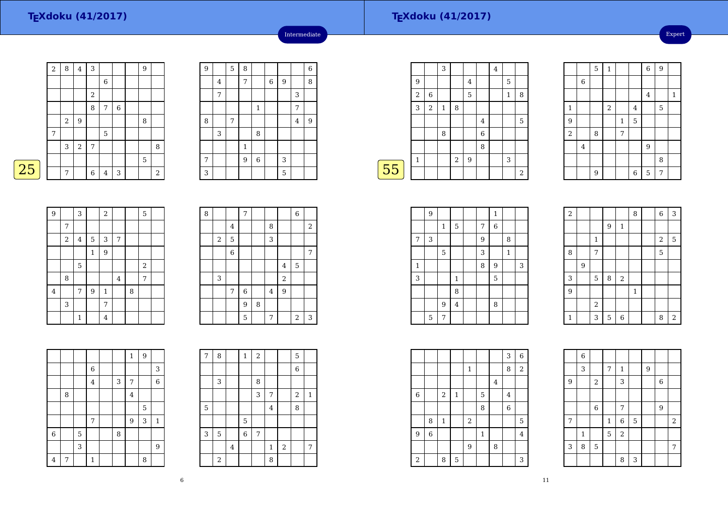$\boxed{25}$ 

|   | $\sqrt{2}$ | 8              | $\,4\,$          | 3          |                |         | 9 |                |
|---|------------|----------------|------------------|------------|----------------|---------|---|----------------|
|   |            |                |                  |            | 6              |         |   |                |
|   |            |                |                  | $\sqrt{2}$ |                |         |   |                |
|   |            |                |                  | 8          | 7              | $\,6\,$ |   |                |
|   |            | $\overline{2}$ | 9                |            |                |         | 8 |                |
|   | 7          |                |                  |            | 5              |         |   |                |
|   |            | 3              | $\boldsymbol{2}$ | 7          |                |         |   | 8              |
|   |            |                |                  |            |                |         | 5 |                |
| 5 |            | 7              |                  | 6          | $\overline{4}$ | 3       |   | $\overline{2}$ |

| $\overline{9}$ |                | 5 | 8              |              |   |                  |                | $\overline{6}$ |
|----------------|----------------|---|----------------|--------------|---|------------------|----------------|----------------|
|                | $\overline{4}$ |   | 7              |              | 6 | $\boldsymbol{9}$ |                | 8              |
|                | 7              |   |                |              |   |                  | 3              |                |
|                |                |   |                | $\mathbf{1}$ |   |                  | 7              |                |
| 8              |                | 7 |                |              |   |                  | $\overline{4}$ | 9              |
|                | 3              |   |                | 8            |   |                  |                |                |
|                |                |   | $\mathbf{1}$   |              |   |                  |                |                |
| 7              |                |   | $\overline{9}$ | $\,$ 6 $\,$  |   | 3                |                |                |
| 3              |                |   |                |              |   | 5                |                |                |

Intermediate

|    |              |                | 3            |            |   |                | $\overline{4}$ |                           |                  |
|----|--------------|----------------|--------------|------------|---|----------------|----------------|---------------------------|------------------|
|    | 9            |                |              |            | 4 |                |                | 5                         |                  |
|    | 2            | 6              |              |            | 5 |                |                | 1                         | 8                |
|    | 3            | $\overline{2}$ | $\mathbf{1}$ | 8          |   |                |                |                           |                  |
|    |              |                |              |            |   | $\overline{4}$ |                |                           | 5                |
|    |              |                | 8            |            |   | 6              |                |                           |                  |
|    |              |                |              |            |   | 8              |                |                           |                  |
|    | $\mathbf{1}$ |                |              | $\sqrt{2}$ | 9 |                |                | $\ensuremath{\mathsf{3}}$ |                  |
| 55 |              |                |              |            |   |                |                |                           | $\boldsymbol{2}$ |
|    |              |                |              |            |   |                |                |                           |                  |

|                  |         | 5 | $\mathbf{1}$ |              |                | $\overline{6}$          | 9 |              |
|------------------|---------|---|--------------|--------------|----------------|-------------------------|---|--------------|
|                  | $\,6\,$ |   |              |              |                |                         |   |              |
|                  |         |   |              |              |                | $\overline{\mathbf{4}}$ |   | $\mathbf{1}$ |
| $\mathbf{1}$     |         |   | $\sqrt{2}$   |              | $\overline{4}$ |                         | 5 |              |
| 9                |         |   |              | $\mathbf{1}$ | 5              |                         |   |              |
| $\boldsymbol{2}$ |         | 8 |              | 7            |                |                         |   |              |
|                  | $\bf 4$ |   |              |              |                | 9                       |   |              |
|                  |         |   |              |              |                |                         | 8 |              |
|                  |         | 9 |              |              | 6              | 5                       | 7 |              |

| 9       |       | 3              |                | $\boldsymbol{2}$ |                |   | 5          |  |
|---------|-------|----------------|----------------|------------------|----------------|---|------------|--|
|         | 7     |                |                |                  |                |   |            |  |
|         | $\,2$ | $\overline{4}$ | 5              | 3                | 7              |   |            |  |
|         |       |                | $\mathbf{1}$   | $\overline{9}$   |                |   |            |  |
|         |       | 5              |                |                  |                |   | $\sqrt{2}$ |  |
|         | 8     |                |                |                  | $\overline{4}$ |   | 7          |  |
| $\bf 4$ |       | 7              | $\overline{9}$ | $\mathbf{1}$     |                | 8 |            |  |
|         | 3     |                |                | 7                |                |   |            |  |
|         |       | $\mathbf{1}$   |                | 4                |                |   |            |  |

| 8 |       |                | 7              |   |   |                | $\overline{6}$ |            |
|---|-------|----------------|----------------|---|---|----------------|----------------|------------|
|   |       | $\overline{4}$ |                |   | 8 |                |                | $\sqrt{2}$ |
|   | $\,2$ | 5              |                |   | 3 |                |                |            |
|   |       | $\overline{6}$ |                |   |   |                |                | 7          |
|   |       |                |                |   |   | $\overline{4}$ | 5              |            |
|   | 3     |                |                |   |   | $\overline{a}$ |                |            |
|   |       | 7              | $\overline{6}$ |   | 4 | $\overline{9}$ |                |            |
|   |       |                | 9              | 8 |   |                |                |            |
|   |       |                | 5              |   | 7 |                | $\sqrt{2}$     | 3          |

|                |   |   |         |   | $\mathbf{1}$   | $\overline{9}$ |                |
|----------------|---|---|---------|---|----------------|----------------|----------------|
|                |   |   | $\,$ 6  |   |                |                | 3              |
|                |   |   | $\bf 4$ | 3 | 7              |                | $\overline{6}$ |
|                | 8 |   |         |   | $\overline{4}$ |                |                |
|                |   |   |         |   |                | 5              |                |
|                |   |   | 7       |   | $\overline{9}$ | 3              | $\mathbf 1$    |
| $\overline{6}$ |   | 5 |         | 8 |                |                |                |
|                |   | 3 |         |   |                |                | $\overline{9}$ |
| $\overline{4}$ | 7 |   | 1       |   |                | 8              |                |

| 7 | 8              |   | $\mathbf{1}$ | 2 |                |       | 5              |              |
|---|----------------|---|--------------|---|----------------|-------|----------------|--------------|
|   |                |   |              |   |                |       | 6              |              |
|   | 3              |   |              | 8 |                |       |                |              |
|   |                |   |              | 3 | 7              |       | $\overline{c}$ | $\mathbf{1}$ |
| 5 |                |   |              |   | $\overline{4}$ |       | 8              |              |
|   |                |   | 5            |   |                |       |                |              |
| 3 | $\overline{5}$ |   | 6            | 7 |                |       |                |              |
|   |                | 4 |              |   | $\mathbf{1}$   | $\,2$ |                | 7            |
|   | $\,2$          |   |              |   | 8              |       |                |              |

|   | 9 |         |                |   | $1\,$       |   |   |  |
|---|---|---------|----------------|---|-------------|---|---|--|
|   |   | $\,1\,$ | $\mathbf 5$    | 7 | $\,$ 6 $\,$ |   |   |  |
| 7 | 3 |         |                | 9 |             | 8 |   |  |
|   |   | 5       |                | 3 |             | 1 |   |  |
| 1 |   |         |                | 8 | 9           |   | 3 |  |
| 3 |   |         | 1              |   | 5           |   |   |  |
|   |   |         | 8              |   |             |   |   |  |
|   |   | 9       | $\overline{4}$ |   | 8           |   |   |  |
|   | 5 | 7       |                |   |             |   |   |  |

| $\sqrt{2}$     |   |              |   |              | 8            | $\overline{6}$ | 3              |
|----------------|---|--------------|---|--------------|--------------|----------------|----------------|
|                |   |              | 9 | $\mathbf{1}$ |              |                |                |
|                |   | $\mathbf{1}$ |   |              |              | $\sqrt{2}$     | 5              |
| 8              |   | 7            |   |              |              | 5              |                |
|                | 9 |              |   |              |              |                |                |
| 3              |   | 5            | 8 | $\sqrt{2}$   |              |                |                |
| $\overline{9}$ |   |              |   |              | $\mathbf{1}$ |                |                |
|                |   | $\,2$        |   |              |              |                |                |
| $\mathbf{1}$   |   | 3            | 5 | 6            |              | 8              | $\overline{a}$ |

 $\begin{array}{|c|c|c|c|}\n\hline\n7 & 1 & 9 \\
\hline\n3 & & & \n\end{array}$ 

 $\begin{array}{|c|c|c|c|c|}\n\hline\n2 & 3 & 6 \\
\hline\n\end{array}$ 

7 9

1 6 5 2

|             |                |              |         |              |              |         | 3           | $\overline{6}$ |
|-------------|----------------|--------------|---------|--------------|--------------|---------|-------------|----------------|
|             |                |              |         | $\mathbf{1}$ |              |         | 8           | $\sqrt{2}$     |
|             |                |              |         |              |              | $\bf 4$ |             |                |
| $\,$ 6 $\,$ |                | $\,2$        | $\,1\,$ |              | $\mathbf 5$  |         | 4           |                |
|             |                |              |         |              | 8            |         | $\,$ 6 $\,$ |                |
|             | 8              | $\mathbf{1}$ |         | $\,2$        |              |         |             | 5              |
| 9           | $\overline{6}$ |              |         |              | $\mathbf{1}$ |         |             | $\overline{4}$ |
|             |                |              |         | 9            |              | 8       |             |                |
| $\,2$       |                | 8            | 5       |              |              |         |             | 3              |

|--|

6

1

9

7

 $\begin{array}{|c|c|c|c|c|}\n\hline\n3 & 7 \\
\hline\n\end{array}$ 

<sup>2</sup>

6 7

 $5 \mid 2$ 

3 <sup>8</sup> <sup>5</sup> <sup>7</sup> $\frac{8}{3}$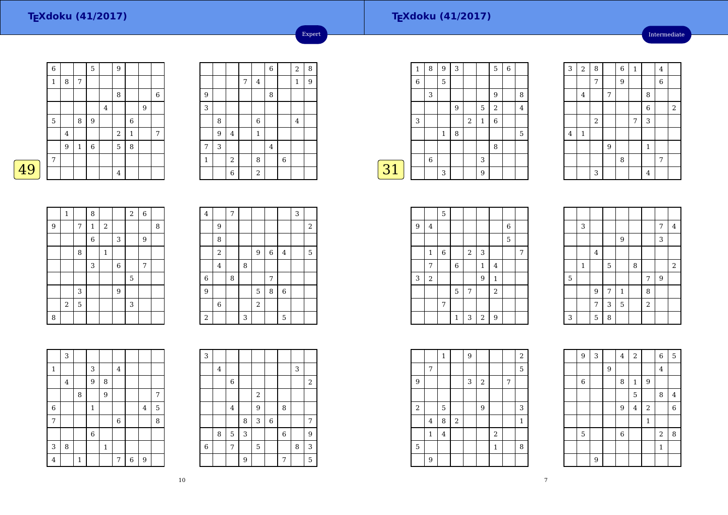49

### **TEXdoku (41/2017)**

Intermediate

|   | $\overline{6}$ |         |         | 5 |         | 9              |                  |   |   |
|---|----------------|---------|---------|---|---------|----------------|------------------|---|---|
|   | 1              | 8       | 7       |   |         |                |                  |   |   |
|   |                |         |         |   |         | 8              |                  |   | 6 |
|   |                |         |         |   | $\bf 4$ |                |                  | 9 |   |
|   | $\overline{5}$ |         | 8       | 9 |         |                | $\boldsymbol{6}$ |   |   |
|   |                | $\bf 4$ |         |   |         | $\,2$          | $\,1\,$          |   | 7 |
|   |                | 9       | $\,1\,$ | 6 |         | 5              | 8                |   |   |
|   | 7              |         |         |   |         |                |                  |   |   |
| 9 |                |         |         |   |         | $\overline{4}$ |                  |   |   |

|         |   |                |   |              | $\,6$       |       | $\sqrt{2}$   | 8 |
|---------|---|----------------|---|--------------|-------------|-------|--------------|---|
|         |   |                | 7 | $\bf 4$      |             |       | $\mathbf{1}$ | 9 |
| 9       |   |                |   |              | $\,$ 8 $\,$ |       |              |   |
| 3       |   |                |   |              |             |       |              |   |
|         | 8 |                |   | $\,6$        |             |       | $\bf 4$      |   |
|         | 9 | $\bf 4$        |   | $\mathbf{1}$ |             |       |              |   |
| 7       | 3 |                |   |              | $\bf 4$     |       |              |   |
| $\,1\,$ |   | $\,2$          |   | 8            |             | $\,6$ |              |   |
|         |   | $\overline{6}$ |   | $\,2$        |             |       |              |   |

Expert

|    | $\mathbf{1}$ | 8 | 9           | 3 |                |              | 5              | 6 |   |
|----|--------------|---|-------------|---|----------------|--------------|----------------|---|---|
|    | 6            |   | 5           |   |                |              |                |   |   |
|    |              | 3 |             |   |                |              | 9              |   | 8 |
|    |              |   |             | 9 |                | 5            | $\overline{2}$ |   | 4 |
|    | 3            |   |             |   | $\overline{2}$ | $\mathbf{1}$ | 6              |   |   |
|    |              |   | $\mathbf 1$ | 8 |                |              |                |   | 5 |
|    |              |   |             |   |                |              | 8              |   |   |
|    |              | 6 |             |   |                | 3            |                |   |   |
| 31 |              |   | 3           |   |                | 9            |                |   |   |
|    |              |   |             |   |                |              |                |   |   |

| 3        | $\overline{2}$ | 8     |                | 6 | $\mathbf 1$ |                | $\overline{4}$ |            |
|----------|----------------|-------|----------------|---|-------------|----------------|----------------|------------|
|          |                | 7     |                | 9 |             |                | $\overline{6}$ |            |
|          | $\bf 4$        |       | 7              |   |             | 8              |                |            |
|          |                |       |                |   |             | $\overline{6}$ |                | $\sqrt{2}$ |
|          |                | $\,2$ |                |   | 7           | 3              |                |            |
| $\bf{4}$ | $1\,$          |       |                |   |             |                |                |            |
|          |                |       | $\overline{9}$ |   |             | $\mathbf 1$    |                |            |
|          |                |       |                | 8 |             |                | 7              |            |
|          |                | 3     |                |   |             | $\overline{4}$ |                |            |

|                | $\mathbf 1$ |   | 8            |              |             | $\overline{a}$ | $\boldsymbol{6}$ |   |
|----------------|-------------|---|--------------|--------------|-------------|----------------|------------------|---|
| $\overline{9}$ |             | 7 | $\mathbf{1}$ | $\sqrt{2}$   |             |                |                  | 8 |
|                |             |   | $\,$ 6 $\,$  |              | 3           |                | $\boldsymbol{9}$ |   |
|                |             | 8 |              | $\mathbf{1}$ |             |                |                  |   |
|                |             |   | 3            |              | $\,$ 6 $\,$ |                | 7                |   |
|                |             |   |              |              |             | 5              |                  |   |
|                |             | 3 |              |              | 9           |                |                  |   |
|                | $\,2$       | 5 |              |              |             | 3              |                  |   |
| 8              |             |   |              |              |             |                |                  |   |

| $\overline{\mathbf{4}}$ |                  | $\overline{7}$ |   |            |       |             | 3 |                  |
|-------------------------|------------------|----------------|---|------------|-------|-------------|---|------------------|
|                         | 9                |                |   |            |       |             |   | $\boldsymbol{2}$ |
|                         | 8                |                |   |            |       |             |   |                  |
|                         | $\boldsymbol{2}$ |                |   | 9          | $\,6$ | $\bf 4$     |   | 5                |
|                         | $\overline{4}$   |                | 8 |            |       |             |   |                  |
| $\overline{6}$          |                  | 8              |   |            | 7     |             |   |                  |
| $\overline{9}$          |                  |                |   | 5          | 8     | $\,$ 6 $\,$ |   |                  |
|                         | 6                |                |   | $\sqrt{2}$ |       |             |   |                  |
| $\,2$                   |                  |                | 3 |            |       | 5           |   |                  |

|                | 3       |              |              |              |             |                |   |   |
|----------------|---------|--------------|--------------|--------------|-------------|----------------|---|---|
| $\mathbf{1}$   |         |              | 3            |              | 4           |                |   |   |
|                | $\bf 4$ |              | 9            | 8            |             |                |   |   |
|                |         | 8            |              | 9            |             |                |   | 7 |
| $\overline{6}$ |         |              | $\mathbf{1}$ |              |             |                | 4 | 5 |
| 7              |         |              |              |              | $\,$ 6 $\,$ |                |   | 8 |
|                |         |              | 6            |              |             |                |   |   |
| 3              | 8       |              |              | $\mathbf{1}$ |             |                |   |   |
| $\overline{4}$ |         | $\mathbf{1}$ |              |              | 7           | $\overline{6}$ | 9 |   |

| 3              |         |             |   |                |             |   |   |       |
|----------------|---------|-------------|---|----------------|-------------|---|---|-------|
|                | $\bf 4$ |             |   |                |             |   | 3 |       |
|                |         | $\,6\,$     |   |                |             |   |   | $\,2$ |
|                |         |             |   | $\overline{2}$ |             |   |   |       |
|                |         | $\bf 4$     |   | 9              |             | 8 |   |       |
|                |         |             | 8 | 3              | $\,$ 6 $\,$ |   |   | 7     |
|                | 8       | $\mathbf 5$ | 3 |                |             | 6 |   | 9     |
| $\overline{6}$ |         | 7           |   | 5              |             |   | 8 | 3     |
|                |         |             | 9 |                |             | 7 |   | 5     |

|                  |              | 5                |             |                |             |              |   |   |
|------------------|--------------|------------------|-------------|----------------|-------------|--------------|---|---|
| $\boldsymbol{9}$ | $\bf 4$      |                  |             |                |             |              | 6 |   |
|                  |              |                  |             |                |             |              | 5 |   |
|                  | $\mathbf{1}$ | $\boldsymbol{6}$ |             | $\overline{2}$ | 3           |              |   | 7 |
|                  | 7            |                  | $\,$ 6 $\,$ |                | $\mathbf 1$ | 4            |   |   |
| 3                | $\sqrt{2}$   |                  |             |                | 9           | $\mathbf{1}$ |   |   |
|                  |              |                  | 5           | 7              |             | $\sqrt{2}$   |   |   |
|                  |              | 7                |             |                |             |              |   |   |
|                  |              |                  | 1           | 3              | $\sqrt{2}$  | 9            |   |   |

|   | 3            |         |   |              |   |            | 7              | $\overline{4}$ |
|---|--------------|---------|---|--------------|---|------------|----------------|----------------|
|   |              |         |   | 9            |   |            | 3              |                |
|   |              | $\bf 4$ |   |              |   |            |                |                |
|   | $\mathbf{1}$ |         | 5 |              | 8 |            |                | $\overline{2}$ |
| 5 |              |         |   |              |   | 7          | $\overline{9}$ |                |
|   |              | 9       | 7 | $\mathbf{1}$ |   | 8          |                |                |
|   |              | 7       | 3 | 5            |   | $\sqrt{2}$ |                |                |
| 3 |              | 5       | 8 |              |   |            |                |                |

4 2 6 5

 <sup>8</sup> <sup>4</sup> $6\,$ 

 $28$ 1

 $\frac{9}{4}$   $\frac{4}{4}$ 

5

9 <sup>3</sup> <sup>4</sup>

6

5

9

9

6 | 8 | 1 | 9

9 <sup>4</sup> $\sqrt{2}$ 1

 $\begin{array}{|c|c|c|c|c|c|}\n\hline\n5 & 6 & 2 \\
\hline\n\end{array}$ 

|            |                | $\mathbf{1}$   |       | 9 |            |             |   | $\sqrt{2}$   |  |
|------------|----------------|----------------|-------|---|------------|-------------|---|--------------|--|
|            | 7              |                |       |   |            |             |   | 5            |  |
| 9          |                |                |       | 3 | $\sqrt{2}$ |             | 7 |              |  |
|            |                |                |       |   |            |             |   |              |  |
| $\sqrt{2}$ |                | 5              |       |   | 9          |             |   | 3            |  |
|            | $\overline{4}$ | 8              | $\,2$ |   |            |             |   | $\mathbf{1}$ |  |
|            | $\mathbf{1}$   | $\overline{4}$ |       |   |            | $\,2$       |   |              |  |
| 5          |                |                |       |   |            | $\mathbf 1$ |   | 8            |  |
|            | 9              |                |       |   |            |             |   |              |  |
|            |                |                |       |   |            |             |   |              |  |